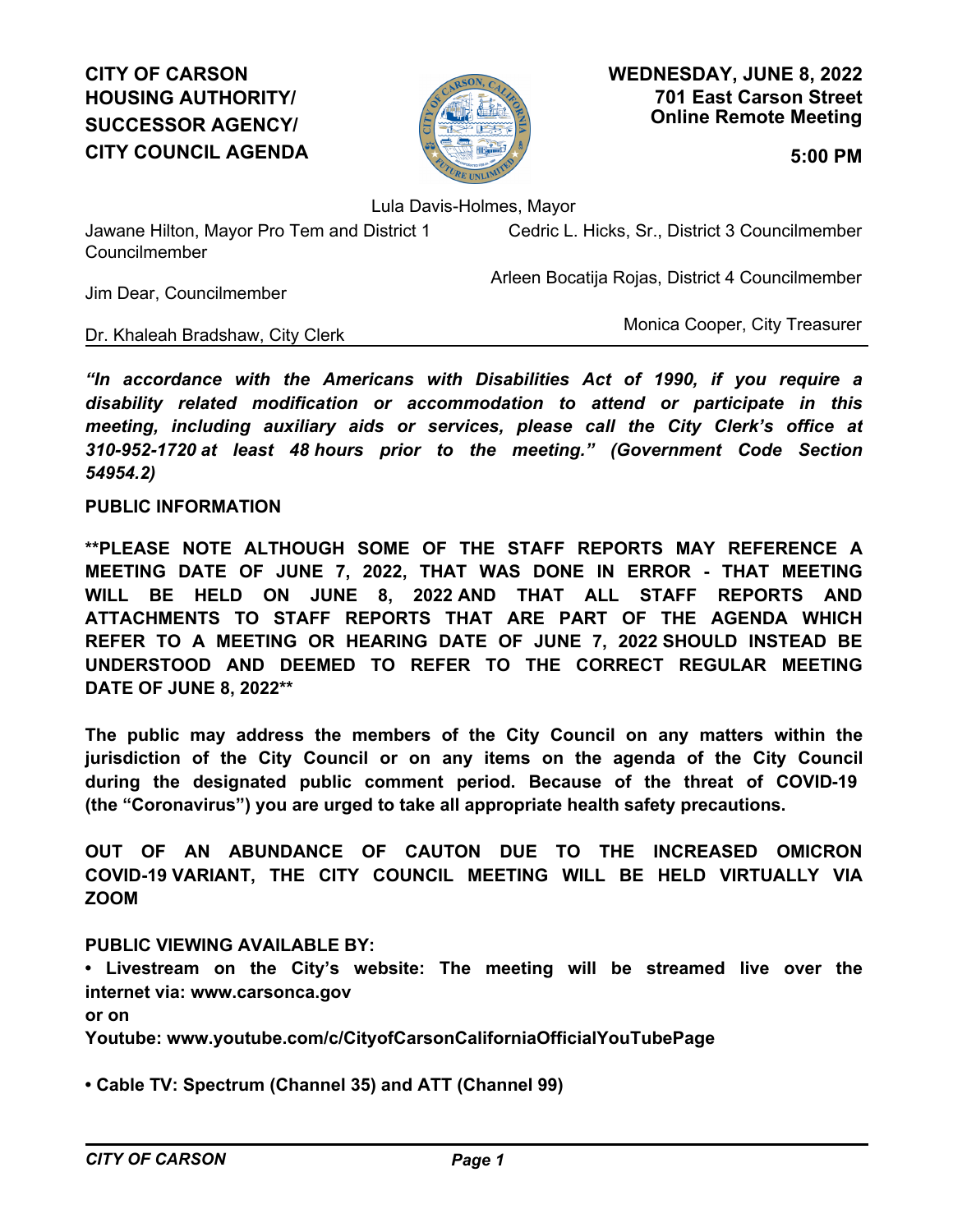# **CITY OF CARSON HOUSING AUTHORITY/ SUCCESSOR AGENCY/ CITY COUNCIL AGENDA 5:00 PM**



**701 East Carson Street Online Remote Meeting WEDNESDAY, JUNE 8, 2022**

Lula Davis-Holmes, Mayor

Jawane Hilton, Mayor Pro Tem and District 1 Councilmember

Cedric L. Hicks, Sr., District 3 Councilmember

Arleen Bocatija Rojas, District 4 Councilmember

Jim Dear, Councilmember

Dr. Khaleah Bradshaw, City Clerk

Monica Cooper, City Treasurer

*"In accordance with the Americans with Disabilities Act of 1990, if you require a disability related modification or accommodation to attend or participate in this meeting, including auxiliary aids or services, please call the City Clerk's office at 310-952-1720 at least 48 hours prior to the meeting." (Government Code Section 54954.2)*

## **PUBLIC INFORMATION**

**\*\*PLEASE NOTE ALTHOUGH SOME OF THE STAFF REPORTS MAY REFERENCE A MEETING DATE OF JUNE 7, 2022, THAT WAS DONE IN ERROR - THAT MEETING WILL BE HELD ON JUNE 8, 2022 AND THAT ALL STAFF REPORTS AND ATTACHMENTS TO STAFF REPORTS THAT ARE PART OF THE AGENDA WHICH REFER TO A MEETING OR HEARING DATE OF JUNE 7, 2022 SHOULD INSTEAD BE UNDERSTOOD AND DEEMED TO REFER TO THE CORRECT REGULAR MEETING DATE OF JUNE 8, 2022\*\***

**The public may address the members of the City Council on any matters within the jurisdiction of the City Council or on any items on the agenda of the City Council during the designated public comment period. Because of the threat of COVID-19 (the "Coronavirus") you are urged to take all appropriate health safety precautions.**

**OUT OF AN ABUNDANCE OF CAUTON DUE TO THE INCREASED OMICRON COVID-19 VARIANT, THE CITY COUNCIL MEETING WILL BE HELD VIRTUALLY VIA ZOOM**

## **PUBLIC VIEWING AVAILABLE BY:**

**• Livestream on the City's website: The meeting will be streamed live over the internet via: www.carsonca.gov** 

**or on** 

**Youtube: www.youtube.com/c/CityofCarsonCaliforniaOfficialYouTubePage**

**• Cable TV: Spectrum (Channel 35) and ATT (Channel 99)**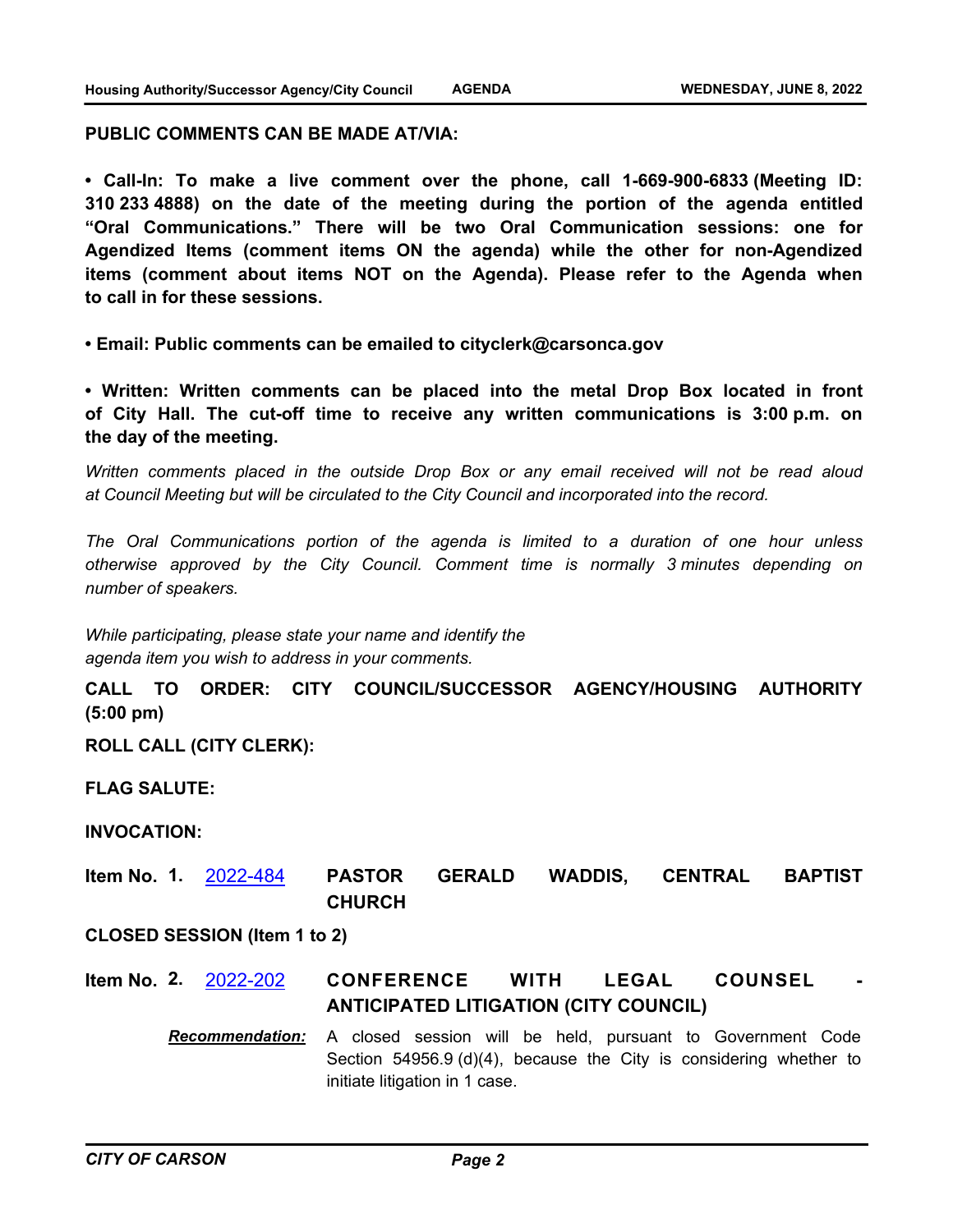#### **PUBLIC COMMENTS CAN BE MADE AT/VIA:**

**• Call-In: To make a live comment over the phone, call 1-669-900-6833 (Meeting ID: 310 233 4888) on the date of the meeting during the portion of the agenda entitled "Oral Communications." There will be two Oral Communication sessions: one for Agendized Items (comment items ON the agenda) while the other for non-Agendized items (comment about items NOT on the Agenda). Please refer to the Agenda when to call in for these sessions.**

**• Email: Public comments can be emailed to cityclerk@carsonca.gov**

**• Written: Written comments can be placed into the metal Drop Box located in front of City Hall. The cut-off time to receive any written communications is 3:00 p.m. on the day of the meeting.**

*Written comments placed in the outside Drop Box or any email received will not be read aloud at Council Meeting but will be circulated to the City Council and incorporated into the record.*

*The Oral Communications portion of the agenda is limited to a duration of one hour unless otherwise approved by the City Council. Comment time is normally 3 minutes depending on number of speakers.*

*While participating, please state your name and identify the agenda item you wish to address in your comments.*

**CALL TO ORDER: CITY COUNCIL/SUCCESSOR AGENCY/HOUSING AUTHORITY (5:00 pm)**

**ROLL CALL (CITY CLERK):**

**FLAG SALUTE:**

## **INVOCATION:**

**PASTOR GERALD WADDIS, CENTRAL BAPTIST CHURCH Item No. 1.** [2022-484](http://carson.legistar.com/gateway.aspx?m=l&id=/matter.aspx?key=10415)

### **CLOSED SESSION (Item 1 to 2)**

**CONFERENCE WITH LEGAL COUNSEL ANTICIPATED LITIGATION (CITY COUNCIL) Item No. 2.** [2022-202](http://carson.legistar.com/gateway.aspx?m=l&id=/matter.aspx?key=10138)

> *Recommendation:* A closed session will be held, pursuant to Government Code Section 54956.9 (d)(4), because the City is considering whether to initiate litigation in 1 case.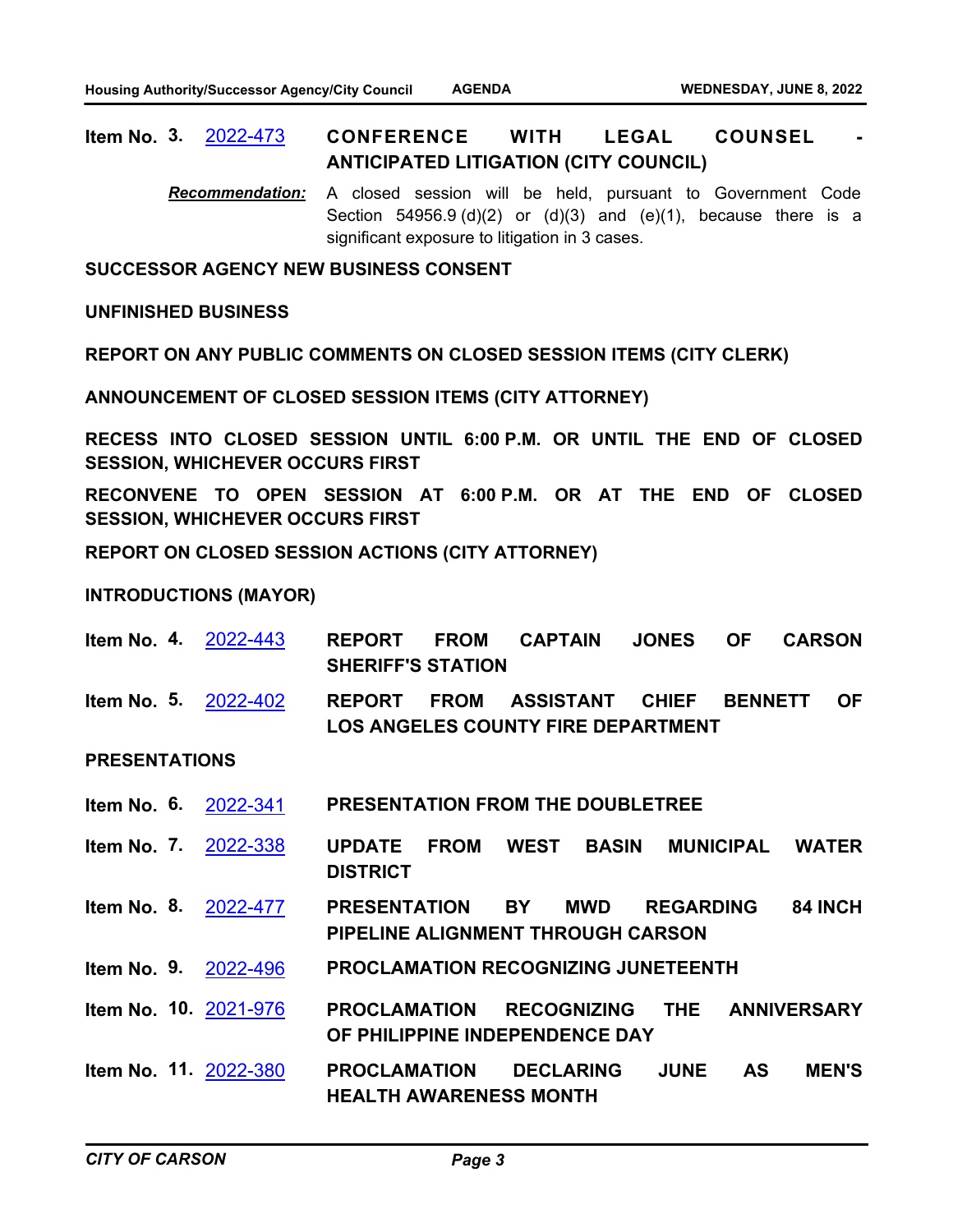#### **CONFERENCE WITH LEGAL COUNSEL ANTICIPATED LITIGATION (CITY COUNCIL) Item No. 3.** [2022-473](http://carson.legistar.com/gateway.aspx?m=l&id=/matter.aspx?key=10404)

*Recommendation:* A closed session will be held, pursuant to Government Code Section  $54956.9$  (d)(2) or (d)(3) and (e)(1), because there is a significant exposure to litigation in 3 cases.

**SUCCESSOR AGENCY NEW BUSINESS CONSENT**

**UNFINISHED BUSINESS**

**REPORT ON ANY PUBLIC COMMENTS ON CLOSED SESSION ITEMS (CITY CLERK)**

**ANNOUNCEMENT OF CLOSED SESSION ITEMS (CITY ATTORNEY)**

**RECESS INTO CLOSED SESSION UNTIL 6:00 P.M. OR UNTIL THE END OF CLOSED SESSION, WHICHEVER OCCURS FIRST**

**RECONVENE TO OPEN SESSION AT 6:00 P.M. OR AT THE END OF CLOSED SESSION, WHICHEVER OCCURS FIRST**

**REPORT ON CLOSED SESSION ACTIONS (CITY ATTORNEY)**

**INTRODUCTIONS (MAYOR)**

- **REPORT FROM CAPTAIN JONES OF CARSON SHERIFF'S STATION Item No. 4.** [2022-443](http://carson.legistar.com/gateway.aspx?m=l&id=/matter.aspx?key=10374)
- **REPORT FROM ASSISTANT CHIEF BENNETT OF LOS ANGELES COUNTY FIRE DEPARTMENT Item No. 5.** [2022-402](http://carson.legistar.com/gateway.aspx?m=l&id=/matter.aspx?key=10335)

## **PRESENTATIONS**

- **Item No. 6.** [2022-341](http://carson.legistar.com/gateway.aspx?m=l&id=/matter.aspx?key=10272) **PRESENTATION FROM THE DOUBLETREE**
- **UPDATE FROM WEST BASIN MUNICIPAL WATER DISTRICT Item No. 7.** [2022-338](http://carson.legistar.com/gateway.aspx?m=l&id=/matter.aspx?key=10269)
- **PRESENTATION BY MWD REGARDING 84 INCH PIPELINE ALIGNMENT THROUGH CARSON Item No. 8.** [2022-477](http://carson.legistar.com/gateway.aspx?m=l&id=/matter.aspx?key=10408)
- **Item No. 9.** [2022-496](http://carson.legistar.com/gateway.aspx?m=l&id=/matter.aspx?key=10427) **PROCLAMATION RECOGNIZING JUNETEENTH**
- **PROCLAMATION RECOGNIZING THE ANNIVERSARY OF PHILIPPINE INDEPENDENCE DAY Item No. 10.** [2021-976](http://carson.legistar.com/gateway.aspx?m=l&id=/matter.aspx?key=9919)
- **PROCLAMATION DECLARING JUNE AS MEN'S HEALTH AWARENESS MONTH Item No. 11.** [2022-380](http://carson.legistar.com/gateway.aspx?m=l&id=/matter.aspx?key=10312)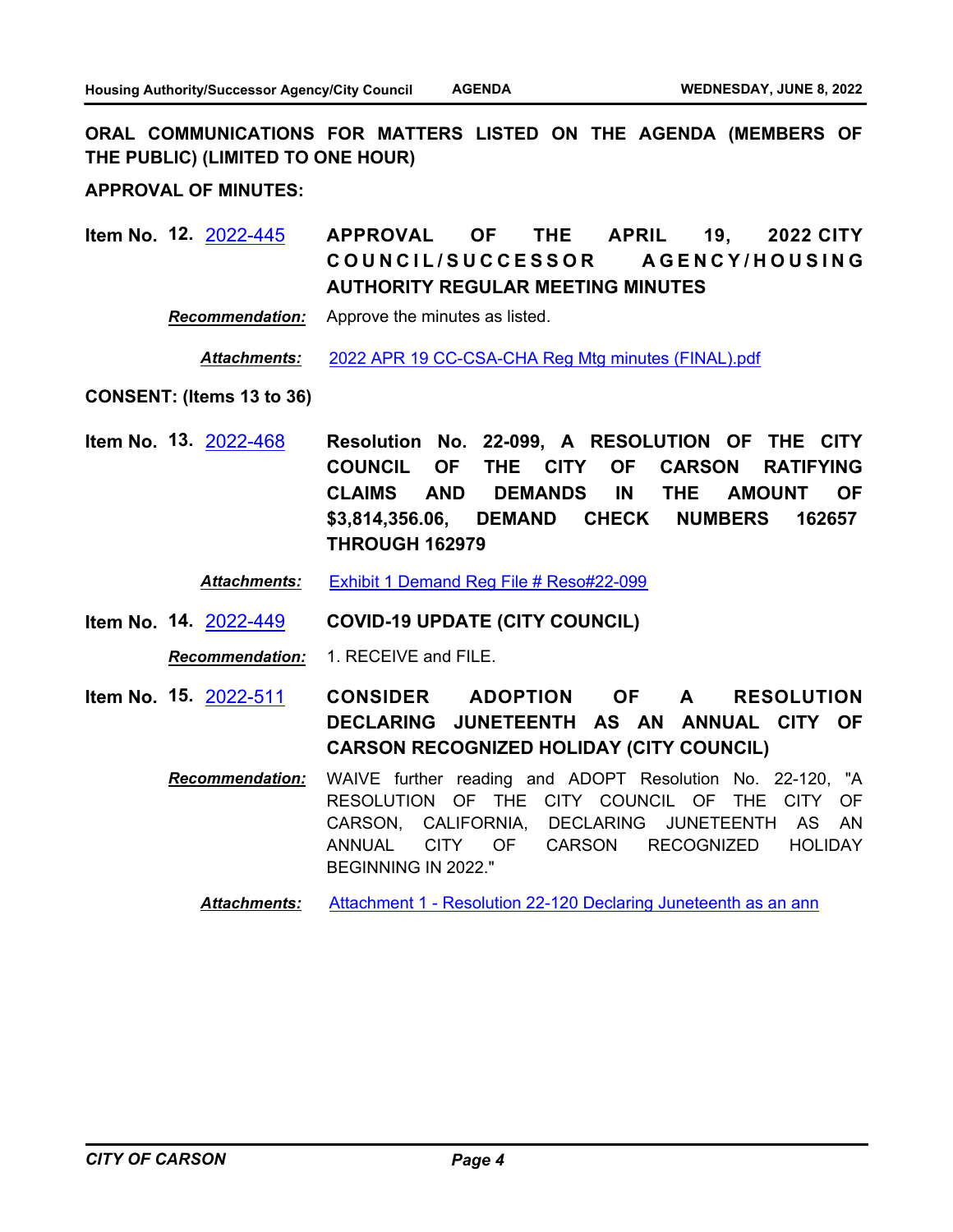**ORAL COMMUNICATIONS FOR MATTERS LISTED ON THE AGENDA (MEMBERS OF THE PUBLIC) (LIMITED TO ONE HOUR)**

**APPROVAL OF MINUTES:**

**APPROVAL OF THE APRIL 19, 2022 CITY**  COUNCIL/SUCCESSOR AGENCY/HOUSING **AUTHORITY REGULAR MEETING MINUTES Item No. 12.** [2022-445](http://carson.legistar.com/gateway.aspx?m=l&id=/matter.aspx?key=10376)

*Recommendation:* Approve the minutes as listed.

*Attachments:* [2022 APR 19 CC-CSA-CHA Reg Mtg minutes \(FINAL\).pdf](http://carson.legistar.com/gateway.aspx?M=F&ID=d12aa1b5-20a5-4e65-846e-6eeac7479480.pdf)

**CONSENT: (Items 13 to 36)**

**Resolution No. 22-099, A RESOLUTION OF THE CITY COUNCIL OF THE CITY OF CARSON RATIFYING CLAIMS AND DEMANDS IN THE AMOUNT OF \$3,814,356.06, DEMAND CHECK NUMBERS 162657 THROUGH 162979 Item No. 13.** [2022-468](http://carson.legistar.com/gateway.aspx?m=l&id=/matter.aspx?key=10399)

*Attachments:* [Exhibit 1 Demand Reg File # Reso#22-099](http://carson.legistar.com/gateway.aspx?M=F&ID=1b487dd1-3ea6-46d9-b744-e572e1af87c3.pdf)

**Item No. 14.** [2022-449](http://carson.legistar.com/gateway.aspx?m=l&id=/matter.aspx?key=10380) **COVID-19 UPDATE (CITY COUNCIL)**

*Recommendation:* 1. RECEIVE and FILE.

- **CONSIDER ADOPTION OF A RESOLUTION DECLARING JUNETEENTH AS AN ANNUAL CITY OF CARSON RECOGNIZED HOLIDAY (CITY COUNCIL) Item No. 15.** [2022-511](http://carson.legistar.com/gateway.aspx?m=l&id=/matter.aspx?key=10442)
	- *Recommendation:* WAIVE further reading and ADOPT Resolution No. 22-120, "A RESOLUTION OF THE CITY COUNCIL OF THE CITY OF CARSON, CALIFORNIA, DECLARING JUNETEENTH AS AN ANNUAL CITY OF CARSON RECOGNIZED HOLIDAY BEGINNING IN 2022."

**Attachments:** [Attachment 1 - Resolution 22-120 Declaring Juneteenth as an ann](http://carson.legistar.com/gateway.aspx?M=F&ID=e94d5fa7-b133-46de-ad38-c4d293e7a0c7.pdf)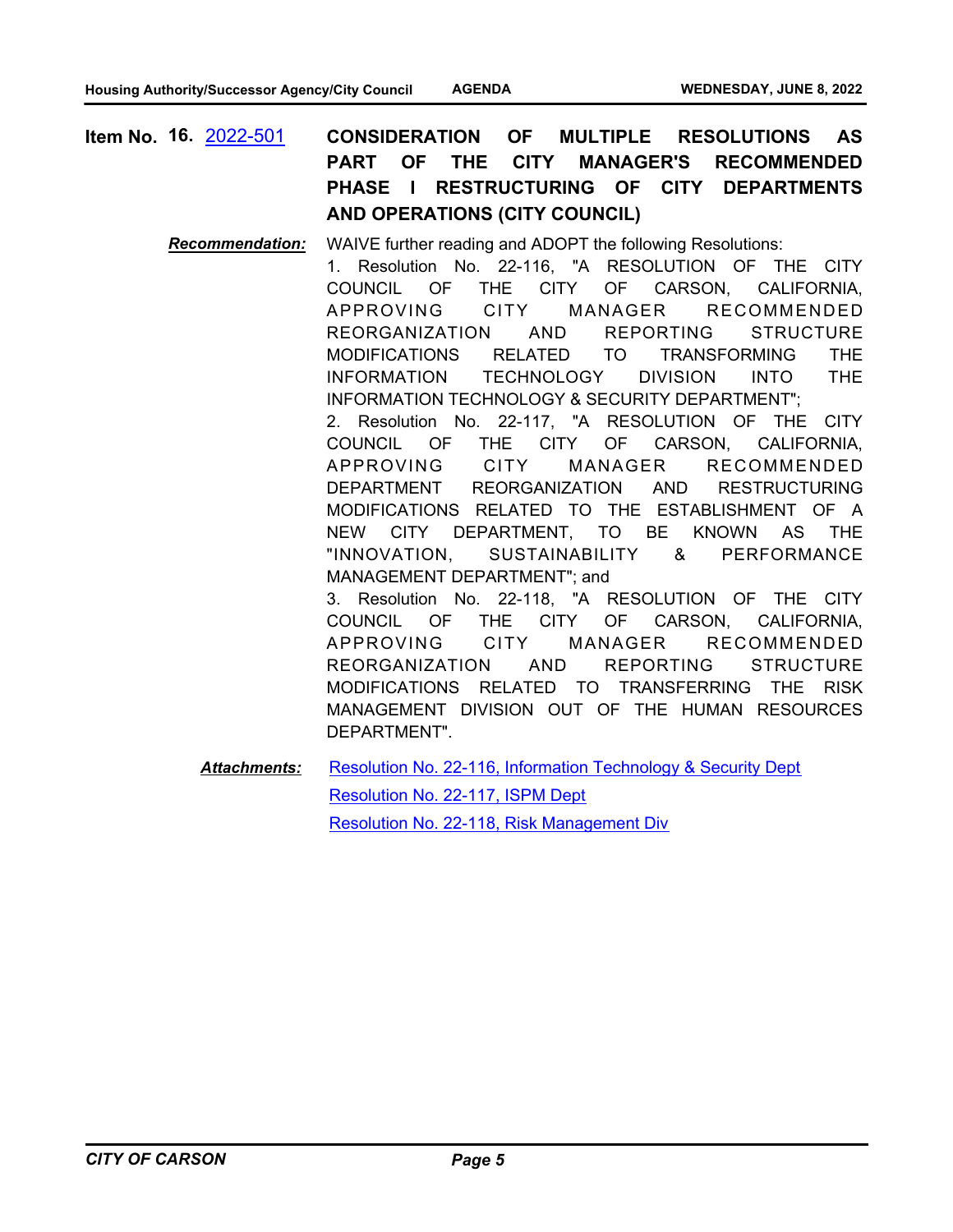**CONSIDERATION OF MULTIPLE RESOLUTIONS AS PART OF THE CITY MANAGER'S RECOMMENDED PHASE I RESTRUCTURING OF CITY DEPARTMENTS AND OPERATIONS (CITY COUNCIL) Item No. 16.** [2022-501](http://carson.legistar.com/gateway.aspx?m=l&id=/matter.aspx?key=10432)

> *Recommendation:* WAIVE further reading and ADOPT the following Resolutions: 1. Resolution No. 22-116, "A RESOLUTION OF THE CITY COUNCIL OF THE CITY OF CARSON, CALIFORNIA, APPROVING CITY MANAGER RECOMMENDED REORGANIZATION AND REPORTING STRUCTURE MODIFICATIONS RELATED TO TRANSFORMING THE INFORMATION TECHNOLOGY DIVISION INTO THE INFORMATION TECHNOLOGY & SECURITY DEPARTMENT"; 2. Resolution No. 22-117, "A RESOLUTION OF THE CITY COUNCIL OF THE CITY OF CARSON, CALIFORNIA, APPROVING CITY MANAGER RECOMMENDED DEPARTMENT REORGANIZATION AND RESTRUCTURING MODIFICATIONS RELATED TO THE ESTABLISHMENT OF A NEW CITY DEPARTMENT, TO BE KNOWN AS THE "INNOVATION, SUSTAINABILITY & PERFORMANCE MANAGEMENT DEPARTMENT"; and 3. Resolution No. 22-118, "A RESOLUTION OF THE CITY COUNCIL OF THE CITY OF CARSON, CALIFORNIA, APPROVING CITY MANAGER RECOMMENDED REORGANIZATION AND REPORTING STRUCTURE MODIFICATIONS RELATED TO TRANSFERRING THE RISK MANAGEMENT DIVISION OUT OF THE HUMAN RESOURCES DEPARTMENT".

[Resolution No. 22-116, Information Technology & Security Dept](http://carson.legistar.com/gateway.aspx?M=F&ID=1fc612bb-2662-42ce-af58-23e2878561ee.DOCX) [Resolution No. 22-117, ISPM Dept](http://carson.legistar.com/gateway.aspx?M=F&ID=e98663f2-2320-4c2f-8987-4ed7b98bcbfc.DOCX) [Resolution No. 22-118, Risk Management Div](http://carson.legistar.com/gateway.aspx?M=F&ID=27276ff4-1ab3-4192-91a2-5384a8f0e07f.DOCX) *Attachments:*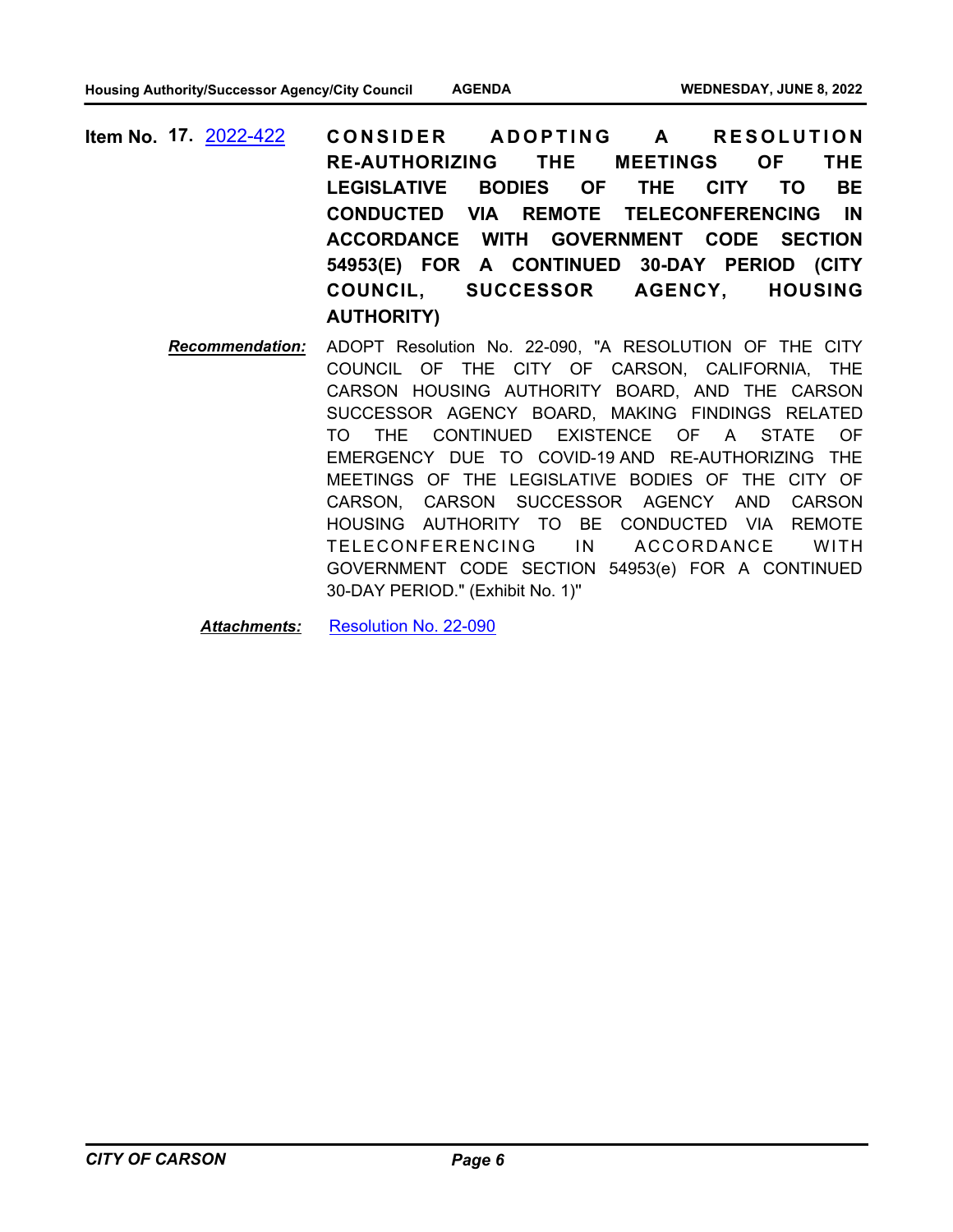- CONSIDER ADOPTING A RESOLUTION **RE-AUTHORIZING THE MEETINGS OF THE LEGISLATIVE BODIES OF THE CITY TO BE CONDUCTED VIA REMOTE TELECONFERENCING IN ACCORDANCE WITH GOVERNMENT CODE SECTION 54953(E) FOR A CONTINUED 30-DAY PERIOD (CITY COUNCIL, SUCCESSOR AGENCY, HOUSING AUTHORITY) Item No. 17.** [2022-422](http://carson.legistar.com/gateway.aspx?m=l&id=/matter.aspx?key=10355)
	- *Recommendation:* ADOPT Resolution No. 22-090, "A RESOLUTION OF THE CITY COUNCIL OF THE CITY OF CARSON, CALIFORNIA, THE CARSON HOUSING AUTHORITY BOARD, AND THE CARSON SUCCESSOR AGENCY BOARD, MAKING FINDINGS RELATED TO THE CONTINUED EXISTENCE OF A STATE OF EMERGENCY DUE TO COVID-19 AND RE-AUTHORIZING THE MEETINGS OF THE LEGISLATIVE BODIES OF THE CITY OF CARSON, CARSON SUCCESSOR AGENCY AND CARSON HOUSING AUTHORITY TO BE CONDUCTED VIA REMOTE TELECONFERENCING IN ACCORDANCE WITH GOVERNMENT CODE SECTION 54953(e) FOR A CONTINUED 30-DAY PERIOD." (Exhibit No. 1)''

*Attachments:* [Resolution No. 22-090](http://carson.legistar.com/gateway.aspx?M=F&ID=ea9b3253-96a2-4d27-876e-582368ee1f97.DOCX)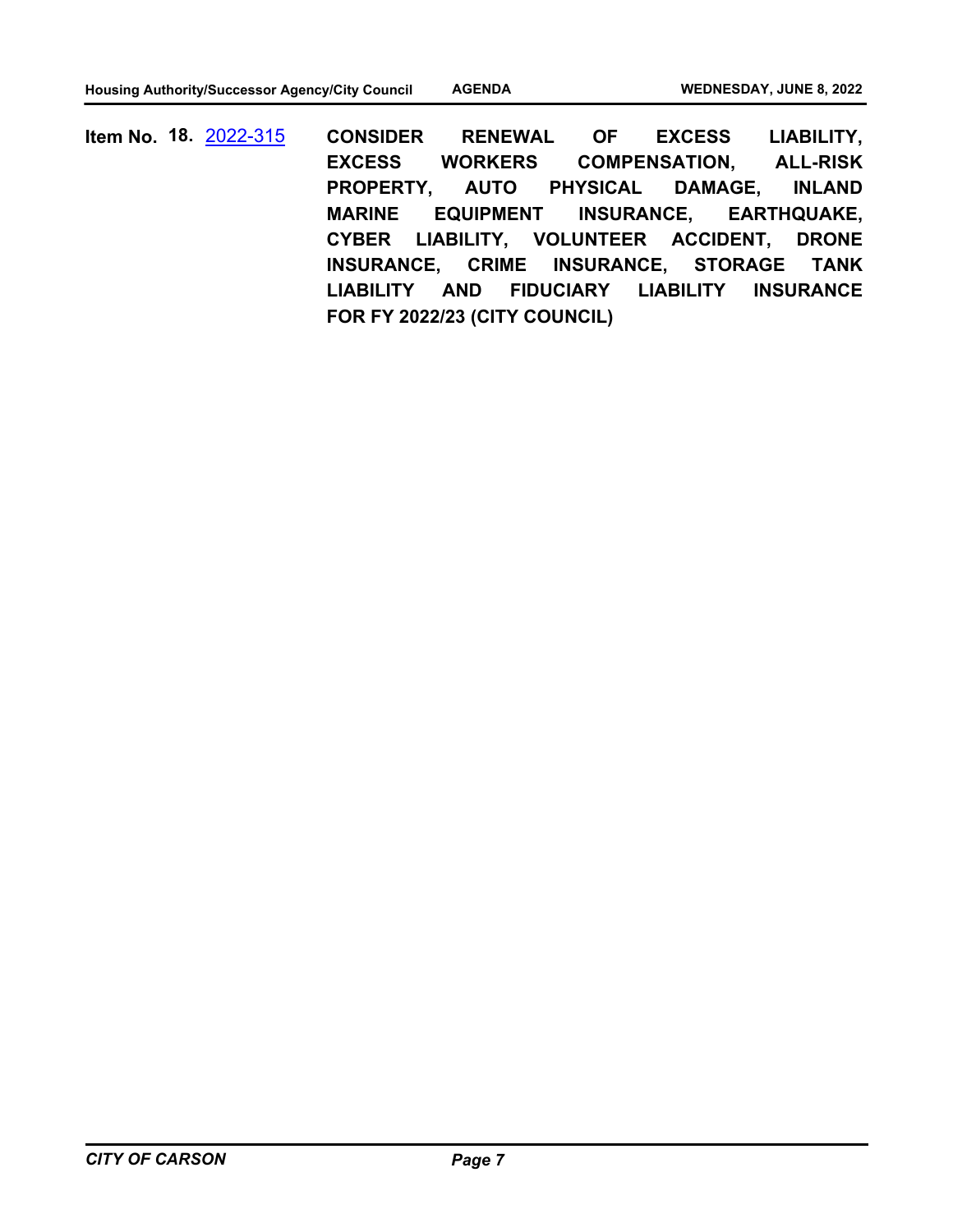**CONSIDER RENEWAL OF EXCESS LIABILITY, EXCESS WORKERS COMPENSATION, ALL-RISK PROPERTY, AUTO PHYSICAL DAMAGE, INLAND MARINE EQUIPMENT INSURANCE, EARTHQUAKE, CYBER LIABILITY, VOLUNTEER ACCIDENT, DRONE INSURANCE, CRIME INSURANCE, STORAGE TANK LIABILITY AND FIDUCIARY LIABILITY INSURANCE FOR FY 2022/23 (CITY COUNCIL) Item No. 18.** [2022-315](http://carson.legistar.com/gateway.aspx?m=l&id=/matter.aspx?key=10246)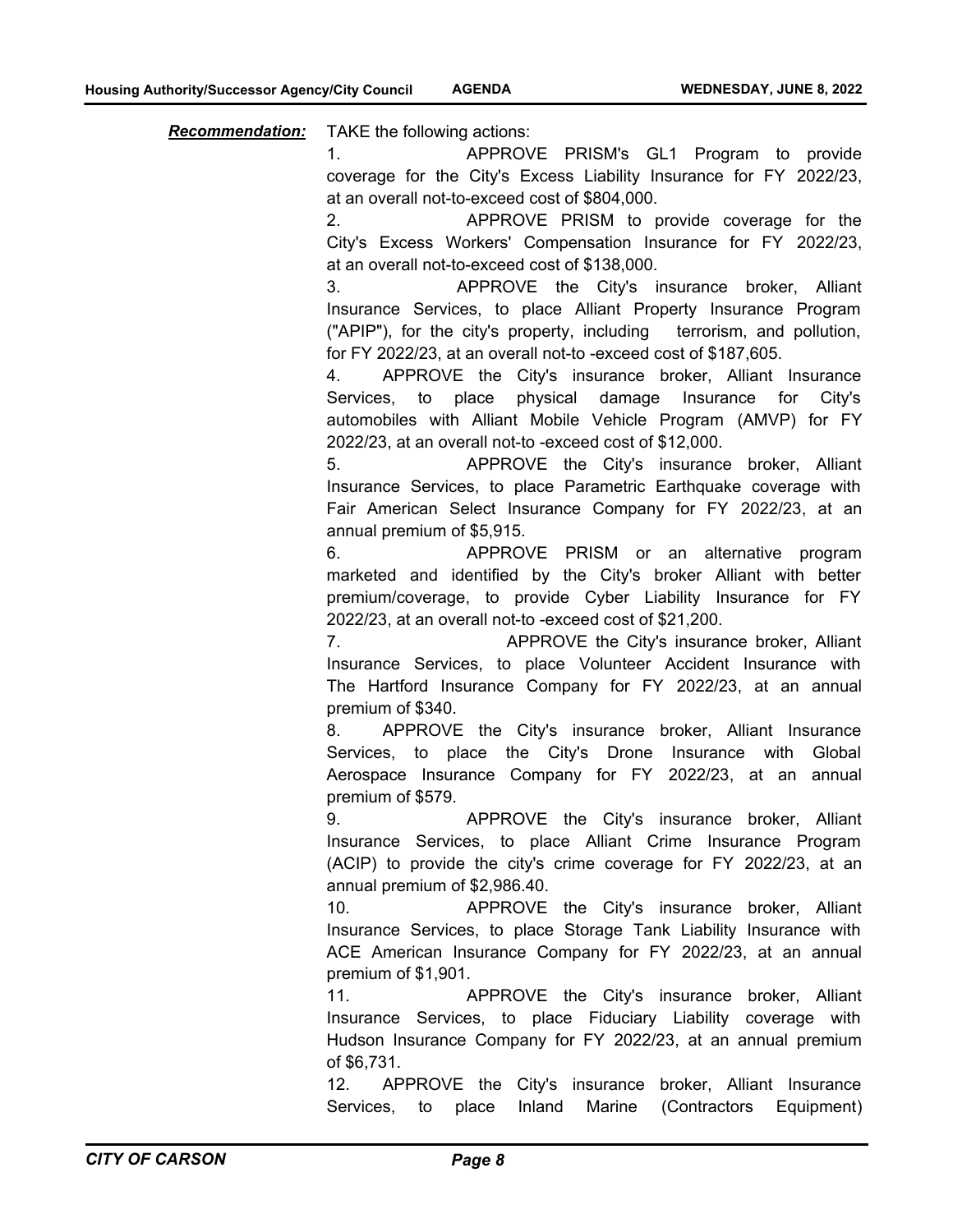*Recommendation:* TAKE the following actions:

1. APPROVE PRISM's GL1 Program to provide coverage for the City's Excess Liability Insurance for FY 2022/23, at an overall not-to-exceed cost of \$804,000.

2. APPROVE PRISM to provide coverage for the City's Excess Workers' Compensation Insurance for FY 2022/23, at an overall not-to-exceed cost of \$138,000.

3. APPROVE the City's insurance broker, Alliant Insurance Services, to place Alliant Property Insurance Program ("APIP"), for the city's property, including terrorism, and pollution, for FY 2022/23, at an overall not-to -exceed cost of \$187,605.

4. APPROVE the City's insurance broker, Alliant Insurance Services, to place physical damage Insurance for City's automobiles with Alliant Mobile Vehicle Program (AMVP) for FY 2022/23, at an overall not-to -exceed cost of \$12,000.

5. APPROVE the City's insurance broker, Alliant Insurance Services, to place Parametric Earthquake coverage with Fair American Select Insurance Company for FY 2022/23, at an annual premium of \$5,915.

6. APPROVE PRISM or an alternative program marketed and identified by the City's broker Alliant with better premium/coverage, to provide Cyber Liability Insurance for FY 2022/23, at an overall not-to -exceed cost of \$21,200.

7. APPROVE the City's insurance broker, Alliant Insurance Services, to place Volunteer Accident Insurance with The Hartford Insurance Company for FY 2022/23, at an annual premium of \$340.

8. APPROVE the City's insurance broker, Alliant Insurance Services, to place the City's Drone Insurance with Global Aerospace Insurance Company for FY 2022/23, at an annual premium of \$579.

9. APPROVE the City's insurance broker, Alliant Insurance Services, to place Alliant Crime Insurance Program (ACIP) to provide the city's crime coverage for FY 2022/23, at an annual premium of \$2,986.40.

10. APPROVE the City's insurance broker, Alliant Insurance Services, to place Storage Tank Liability Insurance with ACE American Insurance Company for FY 2022/23, at an annual premium of \$1,901.

11. APPROVE the City's insurance broker, Alliant Insurance Services, to place Fiduciary Liability coverage with Hudson Insurance Company for FY 2022/23, at an annual premium of \$6,731.

12. APPROVE the City's insurance broker, Alliant Insurance Services, to place Inland Marine (Contractors Equipment)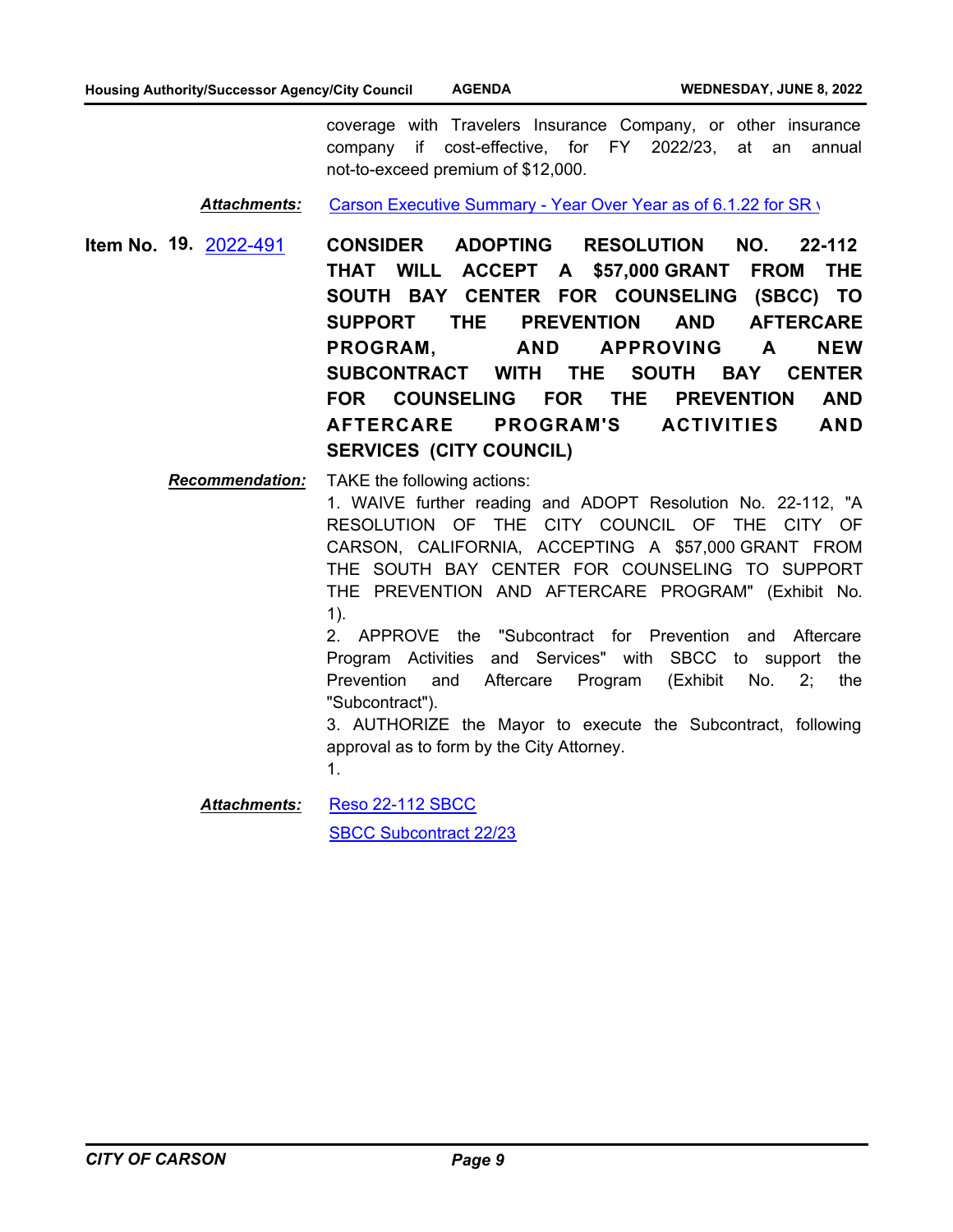coverage with Travelers Insurance Company, or other insurance company if cost-effective, for FY 2022/23, at an annual not-to-exceed premium of \$12,000.

Attachments: [Carson Executive Summary - Year Over Year as of 6.1.22 for SR v](http://carson.legistar.com/gateway.aspx?M=F&ID=cd827c27-80b6-494d-b489-900889694a97.pdf)

**CONSIDER ADOPTING RESOLUTION NO. 22-112 THAT WILL ACCEPT A \$57,000 GRANT FROM THE SOUTH BAY CENTER FOR COUNSELING (SBCC) TO SUPPORT THE PREVENTION AND AFTERCARE PROGRAM, AND APPROVING A NEW SUBCONTRACT WITH THE SOUTH BAY CENTER FOR COUNSELING FOR THE PREVENTION AND AFTERCARE PROGRAM'S ACTIVITIES AND SERVICES (CITY COUNCIL) Item No. 19.** [2022-491](http://carson.legistar.com/gateway.aspx?m=l&id=/matter.aspx?key=10422)

> *Recommendation:* TAKE the following actions: 1. WAIVE further reading and ADOPT Resolution No. 22-112, "A RESOLUTION OF THE CITY COUNCIL OF THE CITY OF CARSON, CALIFORNIA, ACCEPTING A \$57,000 GRANT FROM THE SOUTH BAY CENTER FOR COUNSELING TO SUPPORT THE PREVENTION AND AFTERCARE PROGRAM" (Exhibit No. 1).

2. APPROVE the "Subcontract for Prevention and Aftercare Program Activities and Services" with SBCC to support the Prevention and Aftercare Program (Exhibit No. 2; the "Subcontract").

3. AUTHORIZE the Mayor to execute the Subcontract, following approval as to form by the City Attorney.

1.

[Reso 22-112 SBCC](http://carson.legistar.com/gateway.aspx?M=F&ID=82ebbb15-fe4c-4a3f-a28c-05ce47701799.pdf) [SBCC Subcontract 22/23](http://carson.legistar.com/gateway.aspx?M=F&ID=af4a17c9-5fb0-4bf4-a55d-8057ecc979a7.pdf) *Attachments:*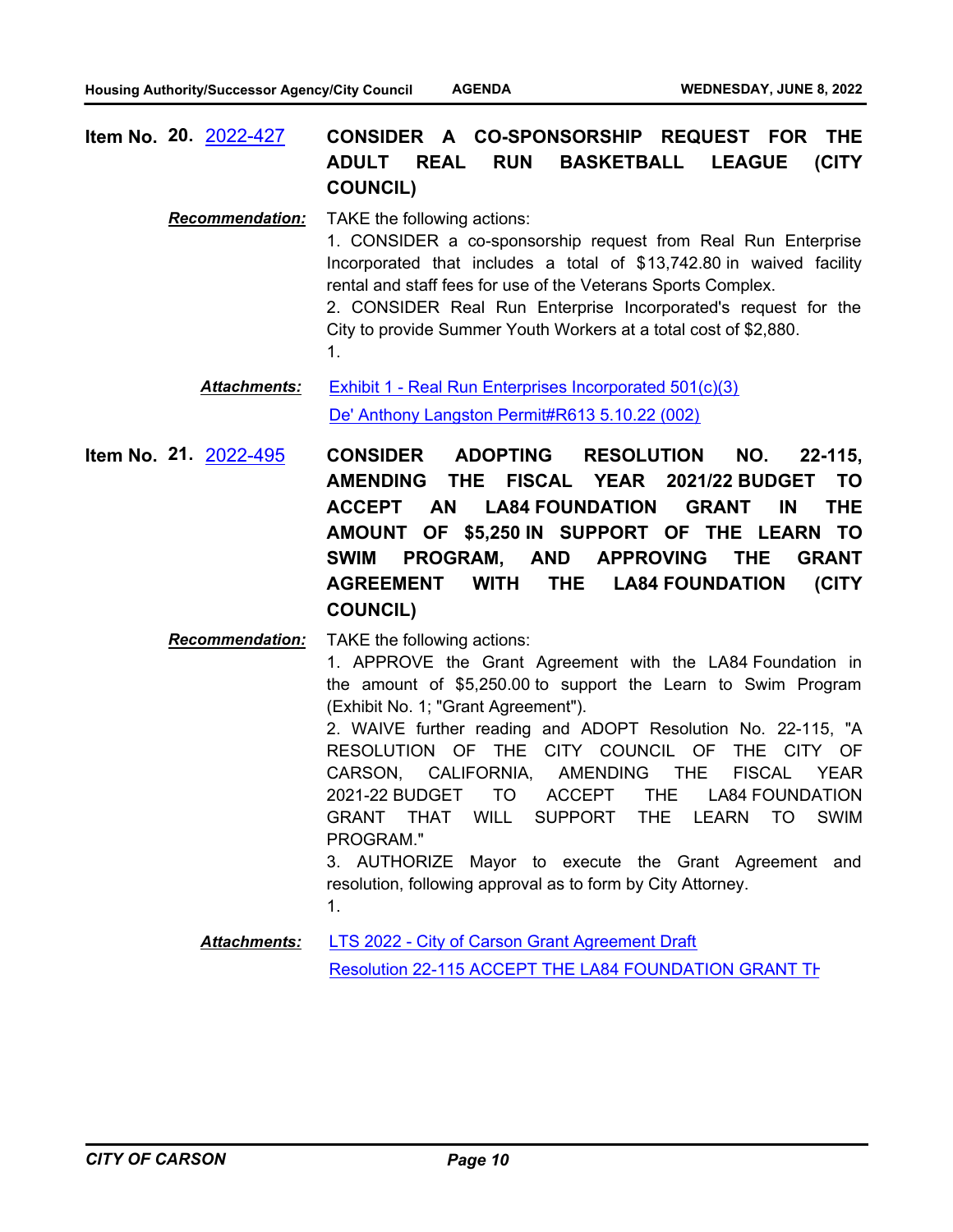**CONSIDER A CO-SPONSORSHIP REQUEST FOR THE ADULT REAL RUN BASKETBALL LEAGUE (CITY COUNCIL) Item No. 20.** [2022-427](http://carson.legistar.com/gateway.aspx?m=l&id=/matter.aspx?key=10360)

*Recommendation:* TAKE the following actions: 1. CONSIDER a co-sponsorship request from Real Run Enterprise Incorporated that includes a total of \$13,742.80 in waived facility rental and staff fees for use of the Veterans Sports Complex. 2. CONSIDER Real Run Enterprise Incorporated's request for the City to provide Summer Youth Workers at a total cost of \$2,880. 1.

[Exhibit 1 - Real Run Enterprises Incorporated 501\(c\)\(3\)](http://carson.legistar.com/gateway.aspx?M=F&ID=42705256-cc38-4724-96c7-7645a3beb6c1.pdf) [De' Anthony Langston Permit#R613 5.10.22 \(002\)](http://carson.legistar.com/gateway.aspx?M=F&ID=652c11ae-a8c5-4278-9e95-41ac49a717c0.pdf) *Attachments:*

**CONSIDER ADOPTING RESOLUTION NO. 22-115, AMENDING THE FISCAL YEAR 2021/22 BUDGET TO ACCEPT AN LA84 FOUNDATION GRANT IN THE AMOUNT OF \$5,250 IN SUPPORT OF THE LEARN TO SWIM PROGRAM, AND APPROVING THE GRANT AGREEMENT WITH THE LA84 FOUNDATION (CITY COUNCIL) Item No. 21.** [2022-495](http://carson.legistar.com/gateway.aspx?m=l&id=/matter.aspx?key=10426)

*Recommendation:* TAKE the following actions:

1. APPROVE the Grant Agreement with the LA84 Foundation in the amount of \$5,250.00 to support the Learn to Swim Program (Exhibit No. 1; "Grant Agreement").

2. WAIVE further reading and ADOPT Resolution No. 22-115, "A RESOLUTION OF THE CITY COUNCIL OF THE CITY OF CARSON, CALIFORNIA, AMENDING THE FISCAL YEAR 2021-22 BUDGET TO ACCEPT THE LA84 FOUNDATION GRANT THAT WILL SUPPORT THE LEARN TO SWIM PROGRAM."

3. AUTHORIZE Mayor to execute the Grant Agreement and resolution, following approval as to form by City Attorney. 1.

[LTS 2022 - City of Carson Grant Agreement Draft](http://carson.legistar.com/gateway.aspx?M=F&ID=3a522c24-9f8d-442b-a9c7-5a33dc339a8f.doc) [Resolution 22-115 ACCEPT THE LA84 FOUNDATION GRANT TH](http://carson.legistar.com/gateway.aspx?M=F&ID=6534026a-8b99-42a7-bd02-1e66bb812bc4.pdf) *Attachments:*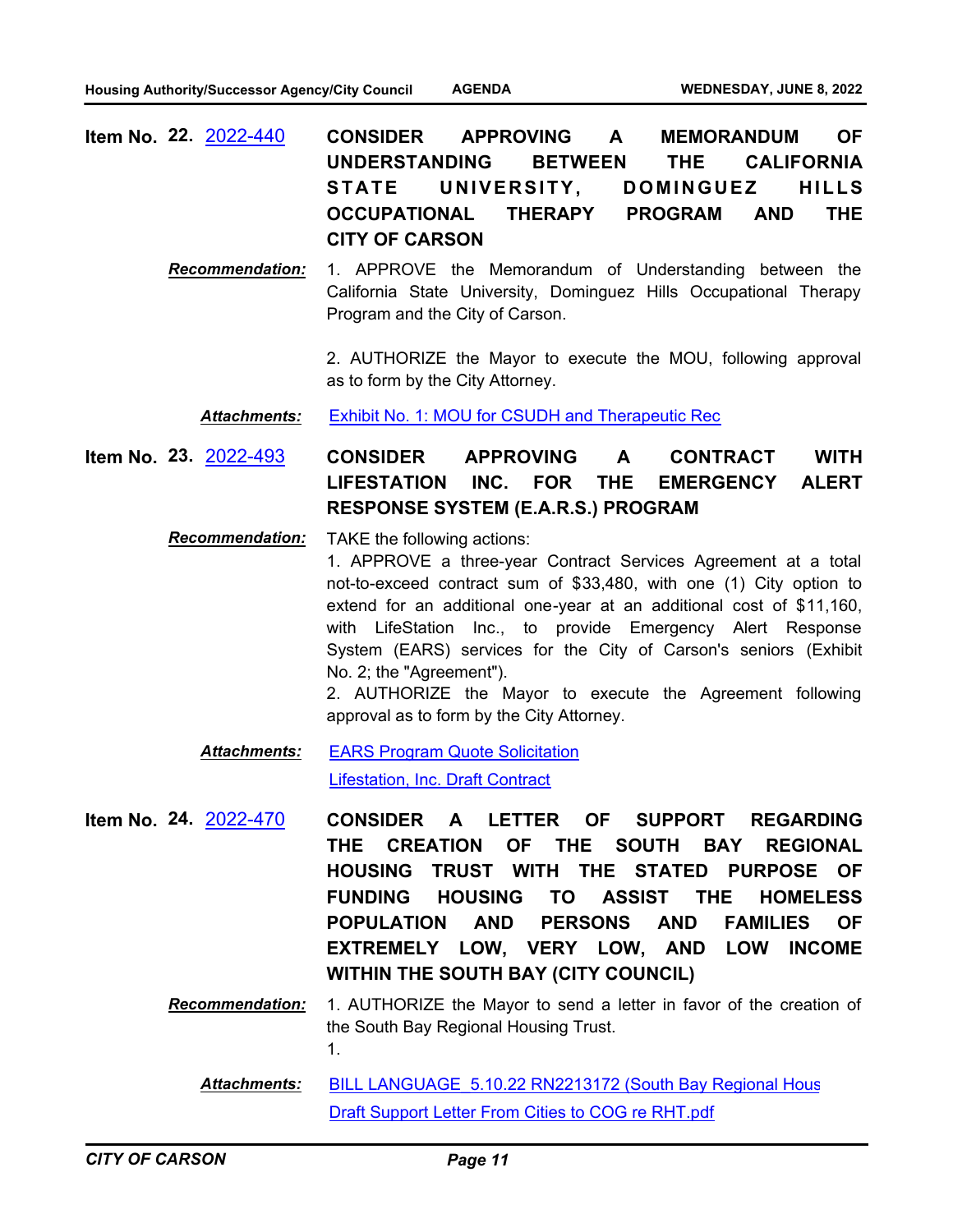- **CONSIDER APPROVING A MEMORANDUM OF UNDERSTANDING BETWEEN THE CALIFORNIA**  STATE UNIVERSITY, DOMINGUEZ HILLS **OCCUPATIONAL THERAPY PROGRAM AND THE CITY OF CARSON Item No. 22.** [2022-440](http://carson.legistar.com/gateway.aspx?m=l&id=/matter.aspx?key=10371)
	- *Recommendation:* 1. APPROVE the Memorandum of Understanding between the California State University, Dominguez Hills Occupational Therapy Program and the City of Carson.

2. AUTHORIZE the Mayor to execute the MOU, following approval as to form by the City Attorney.

#### *Attachments:* [Exhibit No. 1: MOU for CSUDH and Therapeutic Rec](http://carson.legistar.com/gateway.aspx?M=F&ID=170649eb-81a7-4767-901c-5742022420b4.pdf)

**CONSIDER APPROVING A CONTRACT WITH LIFESTATION INC. FOR THE EMERGENCY ALERT RESPONSE SYSTEM (E.A.R.S.) PROGRAM Item No. 23.** [2022-493](http://carson.legistar.com/gateway.aspx?m=l&id=/matter.aspx?key=10424)

*Recommendation:* TAKE the following actions:

1. APPROVE a three-year Contract Services Agreement at a total not-to-exceed contract sum of \$33,480, with one (1) City option to extend for an additional one-year at an additional cost of \$11,160, with LifeStation Inc., to provide Emergency Alert Response System (EARS) services for the City of Carson's seniors (Exhibit No. 2; the "Agreement").

2. AUTHORIZE the Mayor to execute the Agreement following approval as to form by the City Attorney.

- [EARS Program Quote Solicitation](http://carson.legistar.com/gateway.aspx?M=F&ID=6b9f413e-dd1e-4196-bb42-d33ccac67017.pdf) [Lifestation, Inc. Draft Contract](http://carson.legistar.com/gateway.aspx?M=F&ID=a01c646f-9c02-4ea4-9a99-5d8eacb21adc.pdf) *Attachments:*
- **CONSIDER A LETTER OF SUPPORT REGARDING THE CREATION OF THE SOUTH BAY REGIONAL HOUSING TRUST WITH THE STATED PURPOSE OF FUNDING HOUSING TO ASSIST THE HOMELESS POPULATION AND PERSONS AND FAMILIES OF EXTREMELY LOW, VERY LOW, AND LOW INCOME WITHIN THE SOUTH BAY (CITY COUNCIL) Item No. 24.** [2022-470](http://carson.legistar.com/gateway.aspx?m=l&id=/matter.aspx?key=10401)
	- *Recommendation:* 1. AUTHORIZE the Mayor to send a letter in favor of the creation of the South Bay Regional Housing Trust. 1.

BILL LANGUAGE 5.10.22 RN2213172 (South Bay Regional Hous [Draft Support Letter From Cities to COG re RHT.pdf](http://carson.legistar.com/gateway.aspx?M=F&ID=1bc5c309-a29e-4649-9e10-7db6a3c8c2c2.pdf) *Attachments:*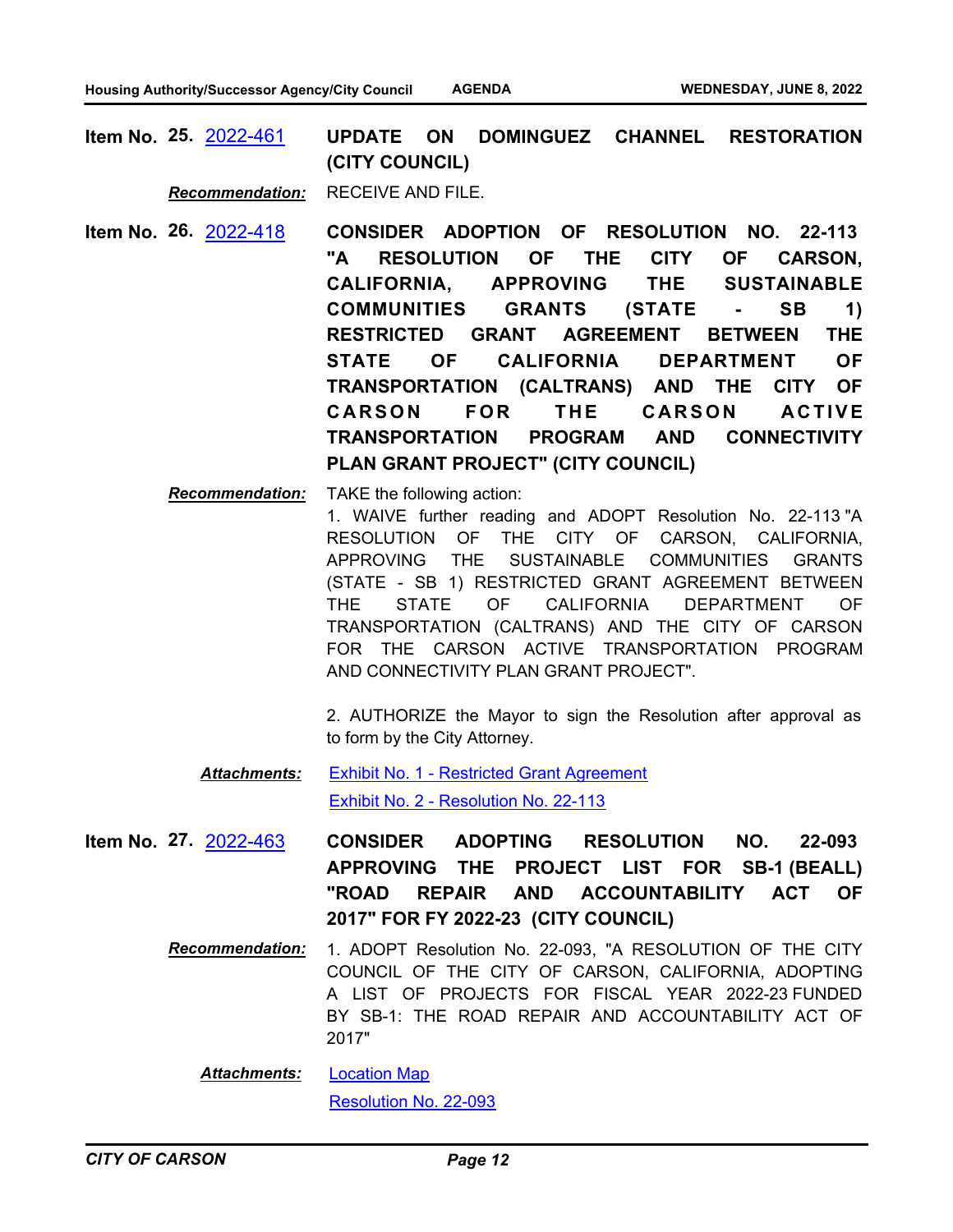**UPDATE ON DOMINGUEZ CHANNEL RESTORATION (CITY COUNCIL) Item No. 25.** [2022-461](http://carson.legistar.com/gateway.aspx?m=l&id=/matter.aspx?key=10392)

*Recommendation:* RECEIVE AND FILE.

- **CONSIDER ADOPTION OF RESOLUTION NO. 22-113 "A RESOLUTION OF THE CITY OF CARSON, CALIFORNIA, APPROVING THE SUSTAINABLE COMMUNITIES GRANTS (STATE - SB 1) RESTRICTED GRANT AGREEMENT BETWEEN THE STATE OF CALIFORNIA DEPARTMENT OF TRANSPORTATION (CALTRANS) AND THE CITY OF**  CARSON FOR THE CARSON ACTIVE **TRANSPORTATION PROGRAM AND CONNECTIVITY PLAN GRANT PROJECT" (CITY COUNCIL) Item No. 26.** [2022-418](http://carson.legistar.com/gateway.aspx?m=l&id=/matter.aspx?key=10351)
	- *Recommendation:* TAKE the following action: 1. WAIVE further reading and ADOPT Resolution No. 22-113 "A RESOLUTION OF THE CITY OF CARSON, CALIFORNIA, APPROVING THE SUSTAINABLE COMMUNITIES GRANTS (STATE - SB 1) RESTRICTED GRANT AGREEMENT BETWEEN THE STATE OF CALIFORNIA DEPARTMENT OF TRANSPORTATION (CALTRANS) AND THE CITY OF CARSON FOR THE CARSON ACTIVE TRANSPORTATION PROGRAM AND CONNECTIVITY PLAN GRANT PROJECT".

2. AUTHORIZE the Mayor to sign the Resolution after approval as to form by the City Attorney.

- [Exhibit No. 1 Restricted Grant Agreement](http://carson.legistar.com/gateway.aspx?M=F&ID=e8a772b7-b260-481e-a694-043e61448182.docx) [Exhibit No. 2 - Resolution No. 22-113](http://carson.legistar.com/gateway.aspx?M=F&ID=8d5017b2-5a82-498e-b88b-0090114d9d1f.docx) *Attachments:*
- **CONSIDER ADOPTING RESOLUTION NO. 22-093 APPROVING THE PROJECT LIST FOR SB-1 (BEALL) "ROAD REPAIR AND ACCOUNTABILITY ACT OF 2017" FOR FY 2022-23 (CITY COUNCIL) Item No. 27.** [2022-463](http://carson.legistar.com/gateway.aspx?m=l&id=/matter.aspx?key=10394)
	- *Recommendation:* 1. ADOPT Resolution No. 22-093, "A RESOLUTION OF THE CITY COUNCIL OF THE CITY OF CARSON, CALIFORNIA, ADOPTING A LIST OF PROJECTS FOR FISCAL YEAR 2022-23 FUNDED BY SB-1: THE ROAD REPAIR AND ACCOUNTABILITY ACT OF 2017"

[Location Map](http://carson.legistar.com/gateway.aspx?M=F&ID=f00d3de0-e36e-4eae-a659-51d194736966.pdf) [Resolution No. 22-093](http://carson.legistar.com/gateway.aspx?M=F&ID=15706fac-12b0-4df6-bd29-87c9cbda80bf.pdf) *Attachments:*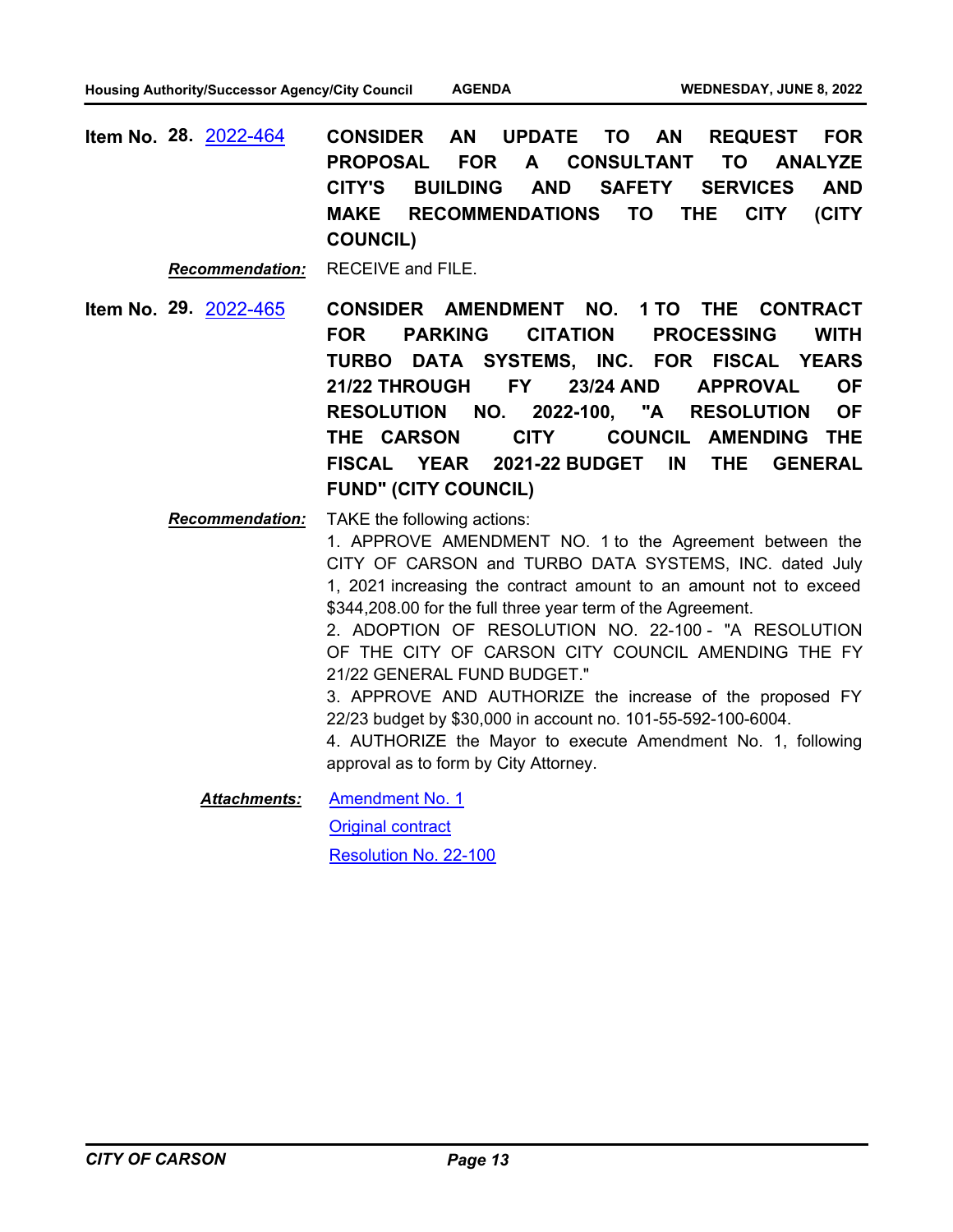**CONSIDER AN UPDATE TO AN REQUEST FOR PROPOSAL FOR A CONSULTANT TO ANALYZE CITY'S BUILDING AND SAFETY SERVICES AND MAKE RECOMMENDATIONS TO THE CITY (CITY COUNCIL) Item No. 28.** [2022-464](http://carson.legistar.com/gateway.aspx?m=l&id=/matter.aspx?key=10395)

*Recommendation:* RECEIVE and FILE.

- **CONSIDER AMENDMENT NO. 1 TO THE CONTRACT FOR PARKING CITATION PROCESSING WITH TURBO DATA SYSTEMS, INC. FOR FISCAL YEARS 21/22 THROUGH FY 23/24 AND APPROVAL OF RESOLUTION NO. 2022-100, "A RESOLUTION OF THE CARSON CITY COUNCIL AMENDING THE FISCAL YEAR 2021-22 BUDGET IN THE GENERAL FUND" (CITY COUNCIL) Item No. 29.** [2022-465](http://carson.legistar.com/gateway.aspx?m=l&id=/matter.aspx?key=10396)
	- *Recommendation:* TAKE the following actions: 1. APPROVE AMENDMENT NO. 1 to the Agreement between the CITY OF CARSON and TURBO DATA SYSTEMS, INC. dated July 1, 2021 increasing the contract amount to an amount not to exceed \$344,208.00 for the full three year term of the Agreement. 2. ADOPTION OF RESOLUTION NO. 22-100 - "A RESOLUTION OF THE CITY OF CARSON CITY COUNCIL AMENDING THE FY 21/22 GENERAL FUND BUDGET." 3. APPROVE AND AUTHORIZE the increase of the proposed FY 22/23 budget by \$30,000 in account no. 101-55-592-100-6004.

4. AUTHORIZE the Mayor to execute Amendment No. 1, following approval as to form by City Attorney.

[Amendment No. 1](http://carson.legistar.com/gateway.aspx?M=F&ID=ade70c20-f27f-4a81-a265-69ffcc8ca2ea.docx) *Attachments:*

[Original contract](http://carson.legistar.com/gateway.aspx?M=F&ID=e3784524-3b9c-4fd2-bbad-44679823a540.pdf)

[Resolution No. 22-100](http://carson.legistar.com/gateway.aspx?M=F&ID=15bb67d6-acb2-49e2-9b63-e63050ffdd5d.docx)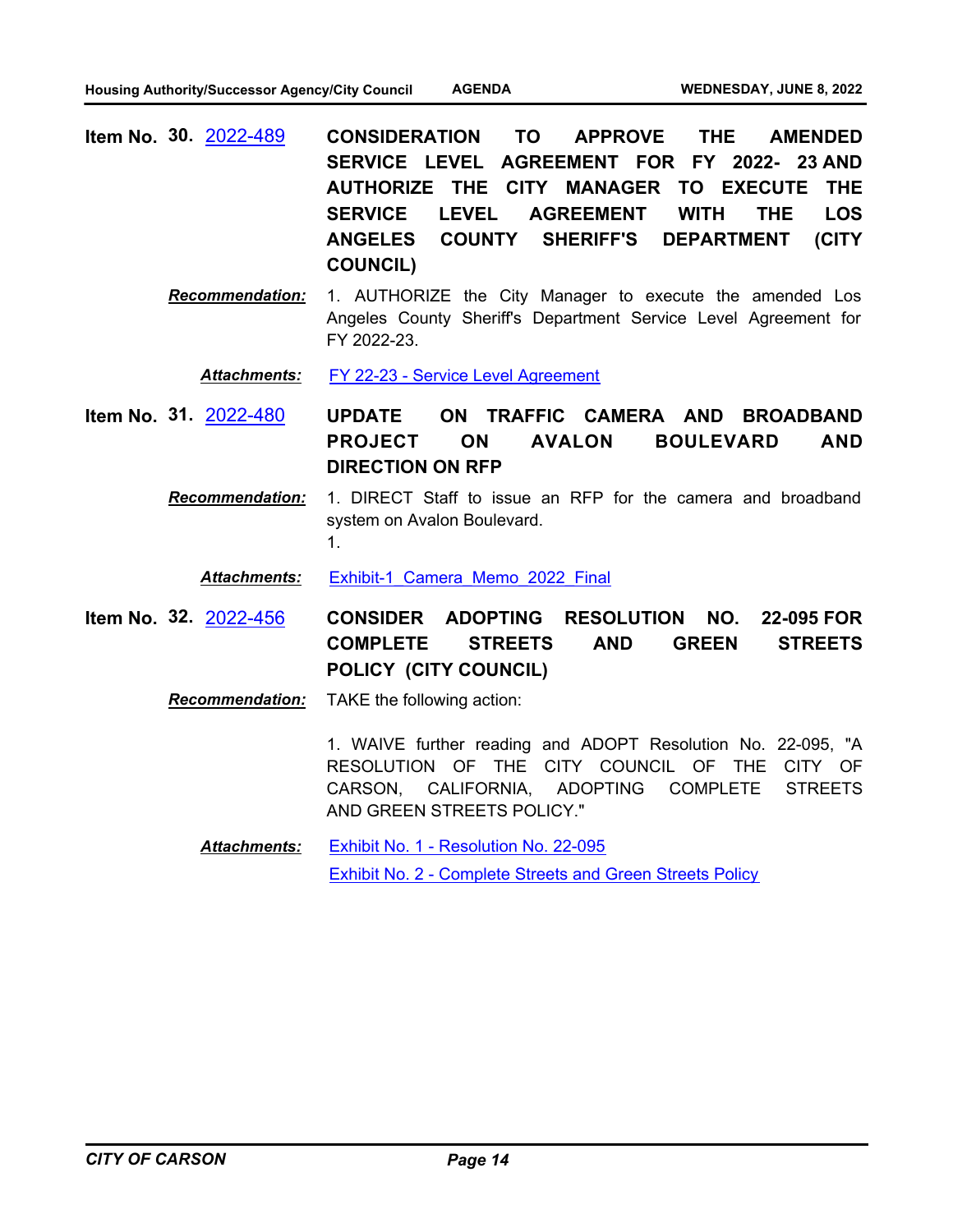- **CONSIDERATION TO APPROVE THE AMENDED SERVICE LEVEL AGREEMENT FOR FY 2022- 23 AND AUTHORIZE THE CITY MANAGER TO EXECUTE THE SERVICE LEVEL AGREEMENT WITH THE LOS ANGELES COUNTY SHERIFF'S DEPARTMENT (CITY COUNCIL) Item No. 30.** [2022-489](http://carson.legistar.com/gateway.aspx?m=l&id=/matter.aspx?key=10420)
	- *Recommendation:* 1. AUTHORIZE the City Manager to execute the amended Los Angeles County Sheriff's Department Service Level Agreement for FY 2022-23.

*Attachments:* [FY 22-23 - Service Level Agreement](http://carson.legistar.com/gateway.aspx?M=F&ID=d50d4ca2-7ff3-45c4-9d4a-f82440f76d12.pdf)

- **UPDATE ON TRAFFIC CAMERA AND BROADBAND PROJECT ON AVALON BOULEVARD AND DIRECTION ON RFP Item No. 31.** [2022-480](http://carson.legistar.com/gateway.aspx?m=l&id=/matter.aspx?key=10411)
	- *Recommendation:* 1. DIRECT Staff to issue an RFP for the camera and broadband system on Avalon Boulevard. 1.

*Attachments:* [Exhibit-1\\_Camera\\_Memo\\_2022\\_Final](http://carson.legistar.com/gateway.aspx?M=F&ID=28445de1-2158-4347-bd8d-539e74f9792f.pdf)

**CONSIDER ADOPTING RESOLUTION NO. 22-095 FOR COMPLETE STREETS AND GREEN STREETS POLICY (CITY COUNCIL) Item No. 32.** [2022-456](http://carson.legistar.com/gateway.aspx?m=l&id=/matter.aspx?key=10387)

*Recommendation:* TAKE the following action:

1. WAIVE further reading and ADOPT Resolution No. 22-095, "A RESOLUTION OF THE CITY COUNCIL OF THE CITY OF CARSON, CALIFORNIA, ADOPTING COMPLETE STREETS AND GREEN STREETS POLICY."

[Exhibit No. 1 - Resolution No. 22-095](http://carson.legistar.com/gateway.aspx?M=F&ID=7b55cc1d-4cdc-4a8c-810c-378672e81ff2.pdf) [Exhibit No. 2 - Complete Streets and Green Streets Policy](http://carson.legistar.com/gateway.aspx?M=F&ID=030a04b6-e331-4fc6-a1ae-1642541642f3.pdf) *Attachments:*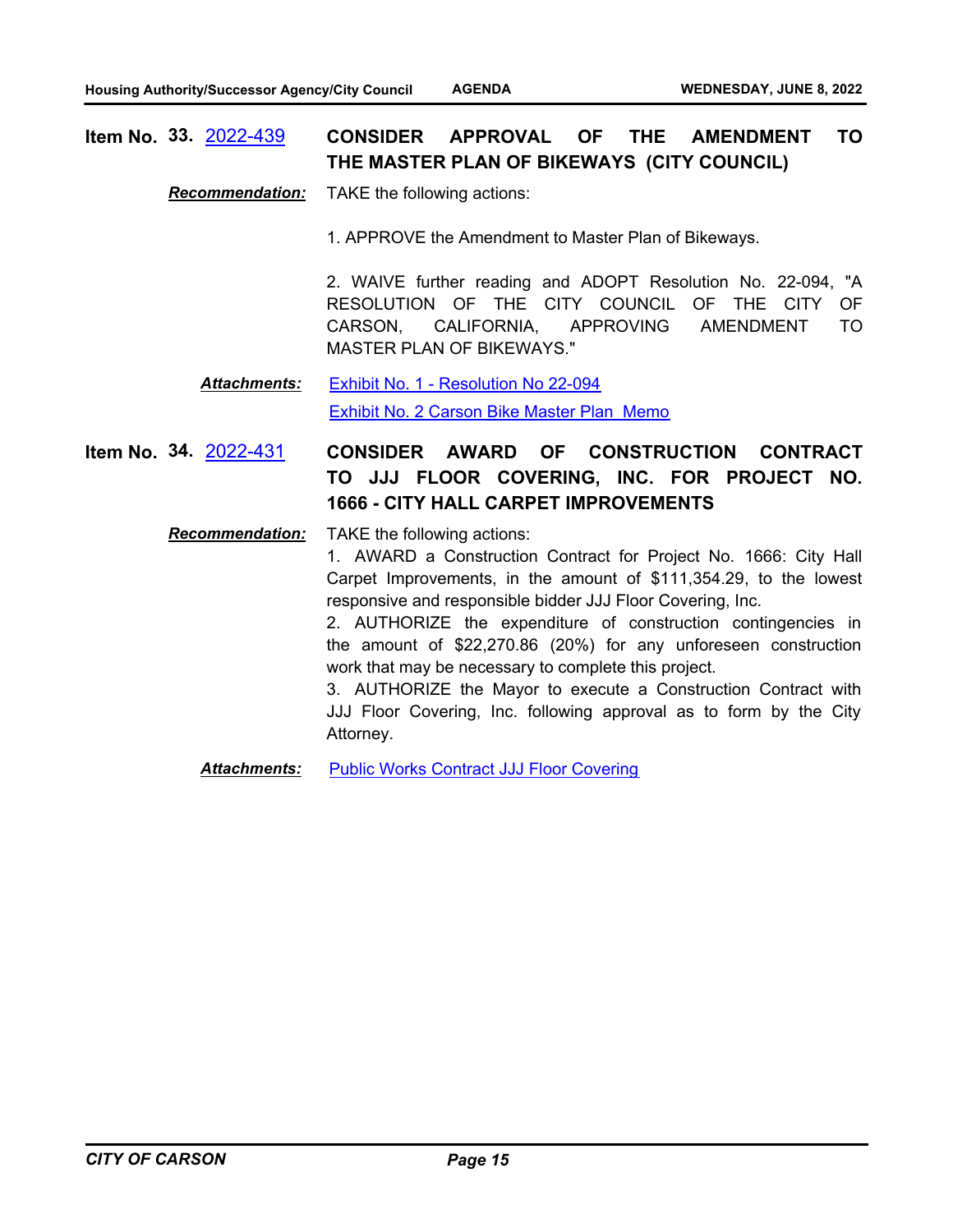#### **CONSIDER APPROVAL OF THE AMENDMENT TO THE MASTER PLAN OF BIKEWAYS (CITY COUNCIL) Item No. 33.** [2022-439](http://carson.legistar.com/gateway.aspx?m=l&id=/matter.aspx?key=10370)

*Recommendation:* TAKE the following actions:

1. APPROVE the Amendment to Master Plan of Bikeways.

2. WAIVE further reading and ADOPT Resolution No. 22-094, "A RESOLUTION OF THE CITY COUNCIL OF THE CITY OF CARSON, CALIFORNIA, APPROVING AMENDMENT TO MASTER PLAN OF BIKEWAYS."

[Exhibit No. 1 - Resolution No 22-094](http://carson.legistar.com/gateway.aspx?M=F&ID=7083eb60-9f41-4136-a48e-77a2549ba2d0.pdf) [Exhibit No. 2 Carson Bike Master Plan\\_Memo](http://carson.legistar.com/gateway.aspx?M=F&ID=4a14b35a-1ff1-47e1-a697-c4b326897afb.pdf) *Attachments:*

#### **CONSIDER AWARD OF CONSTRUCTION CONTRACT TO JJJ FLOOR COVERING, INC. FOR PROJECT NO. 1666 - CITY HALL CARPET IMPROVEMENTS Item No. 34.** [2022-431](http://carson.legistar.com/gateway.aspx?m=l&id=/matter.aspx?key=10363)

*Recommendation:* TAKE the following actions:

1. AWARD a Construction Contract for Project No. 1666: City Hall Carpet Improvements, in the amount of \$111,354.29, to the lowest responsive and responsible bidder JJJ Floor Covering, Inc.

2. AUTHORIZE the expenditure of construction contingencies in the amount of \$22,270.86 (20%) for any unforeseen construction work that may be necessary to complete this project.

3. AUTHORIZE the Mayor to execute a Construction Contract with JJJ Floor Covering, Inc. following approval as to form by the City Attorney.

**Attachments:** [Public Works Contract JJJ Floor Covering](http://carson.legistar.com/gateway.aspx?M=F&ID=5dca2b03-79a6-40ad-a807-33bac2e43938.DOCX)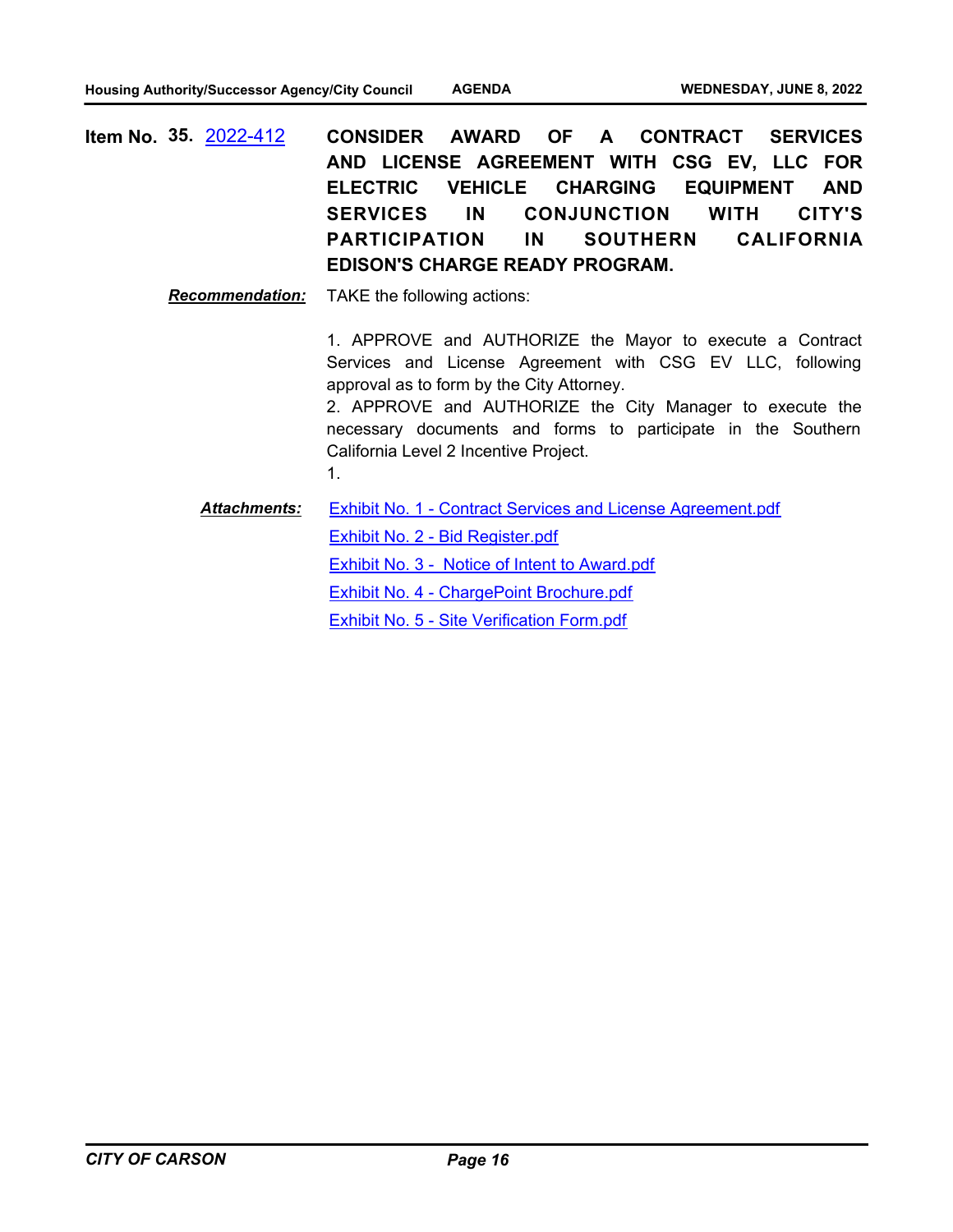**CONSIDER AWARD OF A CONTRACT SERVICES AND LICENSE AGREEMENT WITH CSG EV, LLC FOR ELECTRIC VEHICLE CHARGING EQUIPMENT AND SERVICES IN CONJUNCTION WITH CITY'S PARTICIPATION IN SOUTHERN CALIFORNIA EDISON'S CHARGE READY PROGRAM. Item No. 35.** [2022-412](http://carson.legistar.com/gateway.aspx?m=l&id=/matter.aspx?key=10345)

*Recommendation:* TAKE the following actions:

1. APPROVE and AUTHORIZE the Mayor to execute a Contract Services and License Agreement with CSG EV LLC, following approval as to form by the City Attorney.

2. APPROVE and AUTHORIZE the City Manager to execute the necessary documents and forms to participate in the Southern California Level 2 Incentive Project. 1.

[Exhibit No. 1 - Contract Services and License Agreement.pdf](http://carson.legistar.com/gateway.aspx?M=F&ID=881095a7-c859-4135-9e9a-597cda6abc5e.pdf) [Exhibit No. 2 - Bid Register.pdf](http://carson.legistar.com/gateway.aspx?M=F&ID=c2a8382b-10cd-47c2-9eeb-d189ec04f3fd.pdf) [Exhibit No. 3 - Notice of Intent to Award.pdf](http://carson.legistar.com/gateway.aspx?M=F&ID=4d327188-b2dd-48c6-9f80-d867d12729be.pdf) [Exhibit No. 4 - ChargePoint Brochure.pdf](http://carson.legistar.com/gateway.aspx?M=F&ID=661c2430-e692-4934-a297-2ba6e82b7f32.pdf) [Exhibit No. 5 - Site Verification Form.pdf](http://carson.legistar.com/gateway.aspx?M=F&ID=a215f6ae-a435-4e08-8240-e2c5a4d3e974.pdf) *Attachments:*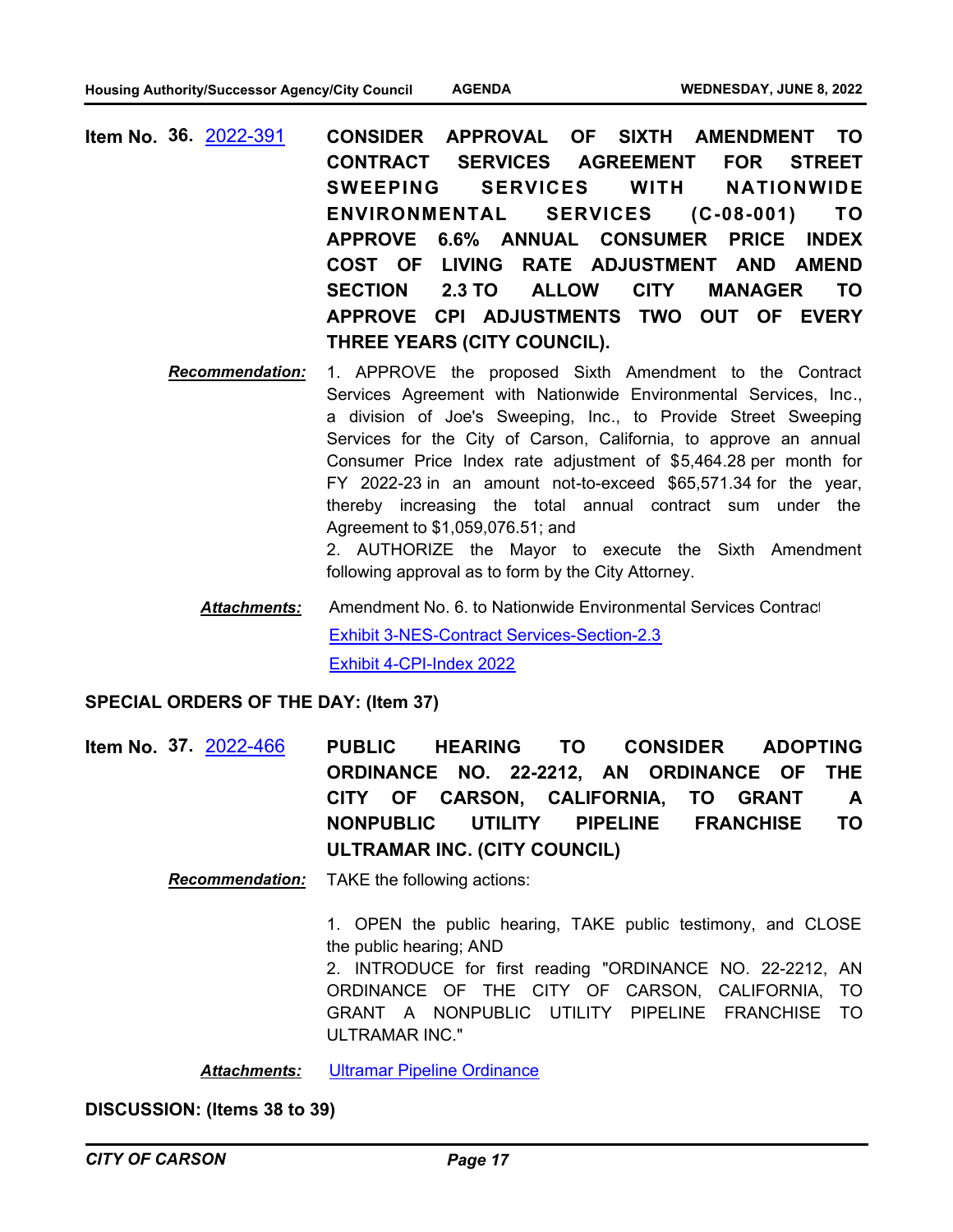- **CONSIDER APPROVAL OF SIXTH AMENDMENT TO CONTRACT SERVICES AGREEMENT FOR STREET SWEEPING SERVICES WITH NATIONWIDE ENVIRONMENTAL SERVICES (C-08-001) TO APPROVE 6.6% ANNUAL CONSUMER PRICE INDEX COST OF LIVING RATE ADJUSTMENT AND AMEND SECTION 2.3 TO ALLOW CITY MANAGER TO APPROVE CPI ADJUSTMENTS TWO OUT OF EVERY THREE YEARS (CITY COUNCIL). Item No. 36.** [2022-391](http://carson.legistar.com/gateway.aspx?m=l&id=/matter.aspx?key=10324)
	- *Recommendation:* 1. APPROVE the proposed Sixth Amendment to the Contract Services Agreement with Nationwide Environmental Services, Inc., a division of Joe's Sweeping, Inc., to Provide Street Sweeping Services for the City of Carson, California, to approve an annual Consumer Price Index rate adjustment of \$5,464.28 per month for FY 2022-23 in an amount not-to-exceed \$65,571.34 for the year, thereby increasing the total annual contract sum under the Agreement to \$1,059,076.51; and

2. AUTHORIZE the Mayor to execute the Sixth Amendment following approval as to form by the City Attorney.

Amendment No. 6. to Nationwide Environmental Services Contract [Exhibit 3-NES-Contract Services-Section-2.3](http://carson.legistar.com/gateway.aspx?M=F&ID=58efba63-e326-47c4-a763-1ccda1cb6711.pdf) [Exhibit 4-CPI-Index 2022](http://carson.legistar.com/gateway.aspx?M=F&ID=6d4cb9d6-f62e-4d32-b312-7264312c7cbe.pdf) *Attachments:*

### **SPECIAL ORDERS OF THE DAY: (Item 37)**

**PUBLIC HEARING TO CONSIDER ADOPTING ORDINANCE NO. 22-2212, AN ORDINANCE OF THE CITY OF CARSON, CALIFORNIA, TO GRANT A NONPUBLIC UTILITY PIPELINE FRANCHISE TO ULTRAMAR INC. (CITY COUNCIL) Item No. 37.** [2022-466](http://carson.legistar.com/gateway.aspx?m=l&id=/matter.aspx?key=10397)

*Recommendation:* TAKE the following actions:

1. OPEN the public hearing, TAKE public testimony, and CLOSE the public hearing; AND

2. INTRODUCE for first reading "ORDINANCE NO. 22-2212, AN ORDINANCE OF THE CITY OF CARSON, CALIFORNIA, TO GRANT A NONPUBLIC UTILITY PIPELINE FRANCHISE TO ULTRAMAR INC."

*Attachments:* [Ultramar Pipeline Ordinance](http://carson.legistar.com/gateway.aspx?M=F&ID=ffd2cbe1-5134-4fbc-975b-83c4b666d92f.DOCX)

**DISCUSSION: (Items 38 to 39)**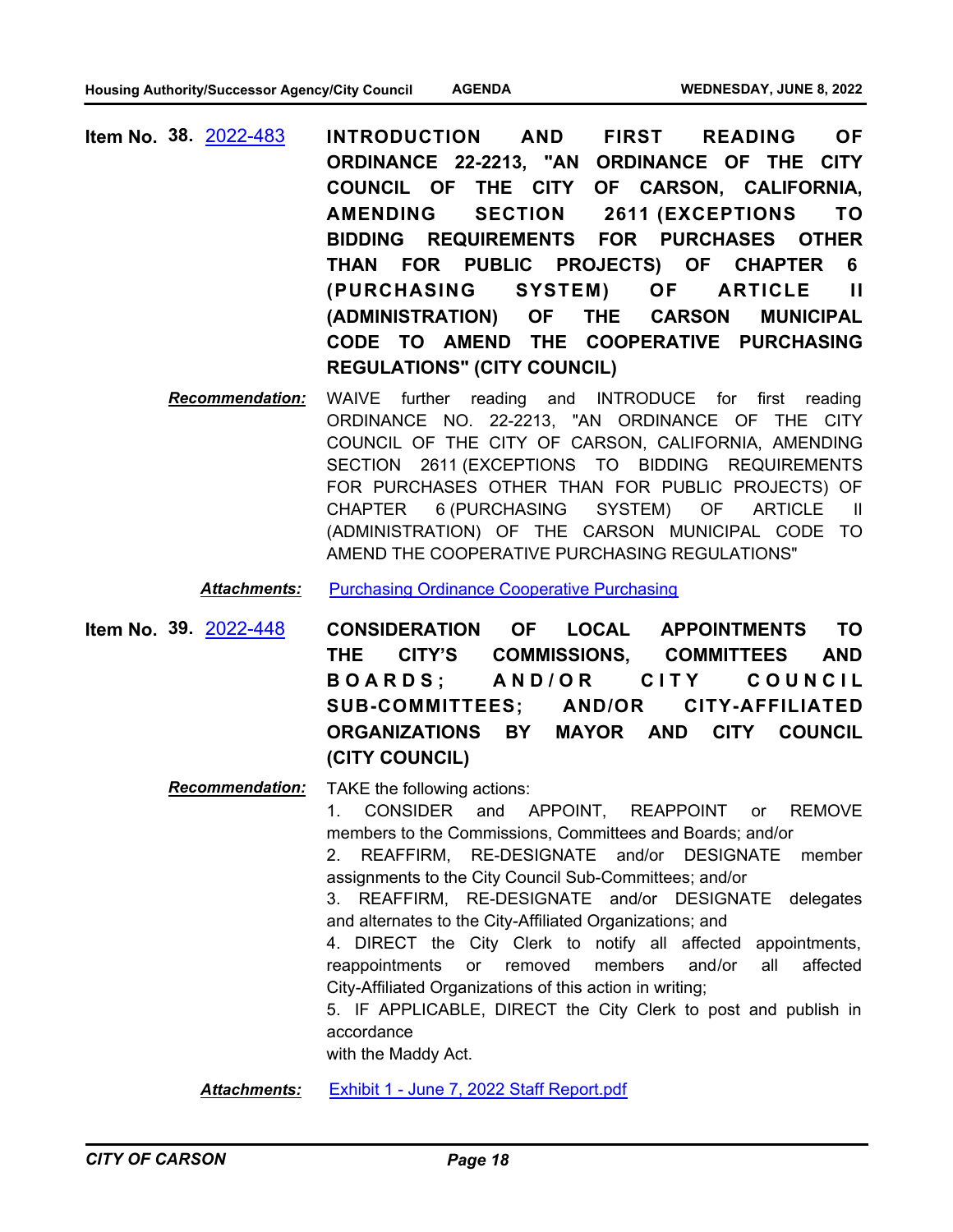- **INTRODUCTION AND FIRST READING OF ORDINANCE 22-2213, "AN ORDINANCE OF THE CITY COUNCIL OF THE CITY OF CARSON, CALIFORNIA, AMENDING SECTION 2611 (EXCEPTIONS TO BIDDING REQUIREMENTS FOR PURCHASES OTHER THAN FOR PUBLIC PROJECTS) OF CHAPTER 6 (PURCHASING SYSTEM) OF ARTICLE II (ADMINISTRATION) OF THE CARSON MUNICIPAL CODE TO AMEND THE COOPERATIVE PURCHASING REGULATIONS" (CITY COUNCIL) Item No. 38.** [2022-483](http://carson.legistar.com/gateway.aspx?m=l&id=/matter.aspx?key=10414)
	- *Recommendation:* WAIVE further reading and INTRODUCE for first reading ORDINANCE NO. 22-2213, "AN ORDINANCE OF THE CITY COUNCIL OF THE CITY OF CARSON, CALIFORNIA, AMENDING SECTION 2611 (EXCEPTIONS TO BIDDING REQUIREMENTS FOR PURCHASES OTHER THAN FOR PUBLIC PROJECTS) OF CHAPTER 6 (PURCHASING SYSTEM) OF ARTICLE II (ADMINISTRATION) OF THE CARSON MUNICIPAL CODE TO AMEND THE COOPERATIVE PURCHASING REGULATIONS"

*Attachments:* [Purchasing Ordinance Cooperative Purchasing](http://carson.legistar.com/gateway.aspx?M=F&ID=9f742c3b-016f-4f69-9745-e99306612e73.docx)

**CONSIDERATION OF LOCAL APPOINTMENTS TO THE CITY'S COMMISSIONS, COMMITTEES AND**  BOARDS; AND/OR CITY COUNCIL **SUB-COMMITTEES; AND/OR CITY-AFFILIATED ORGANIZATIONS BY MAYOR AND CITY COUNCIL (CITY COUNCIL) Item No. 39.** [2022-448](http://carson.legistar.com/gateway.aspx?m=l&id=/matter.aspx?key=10379)

#### *Recommendation:* TAKE the following actions:

1. CONSIDER and APPOINT, REAPPOINT or REMOVE members to the Commissions, Committees and Boards; and/or

2. REAFFIRM, RE-DESIGNATE and/or DESIGNATE member assignments to the City Council Sub-Committees; and/or

3. REAFFIRM, RE-DESIGNATE and/or DESIGNATE delegates and alternates to the City-Affiliated Organizations; and

4. DIRECT the City Clerk to notify all affected appointments, reappointments or removed members and/or all affected City-Affiliated Organizations of this action in writing;

5. IF APPLICABLE, DIRECT the City Clerk to post and publish in accordance

with the Maddy Act.

*Attachments:* [Exhibit 1 - June 7, 2022 Staff Report.pdf](http://carson.legistar.com/gateway.aspx?M=F&ID=73a8c1c1-92f6-4495-b03e-a3773918463c.pdf)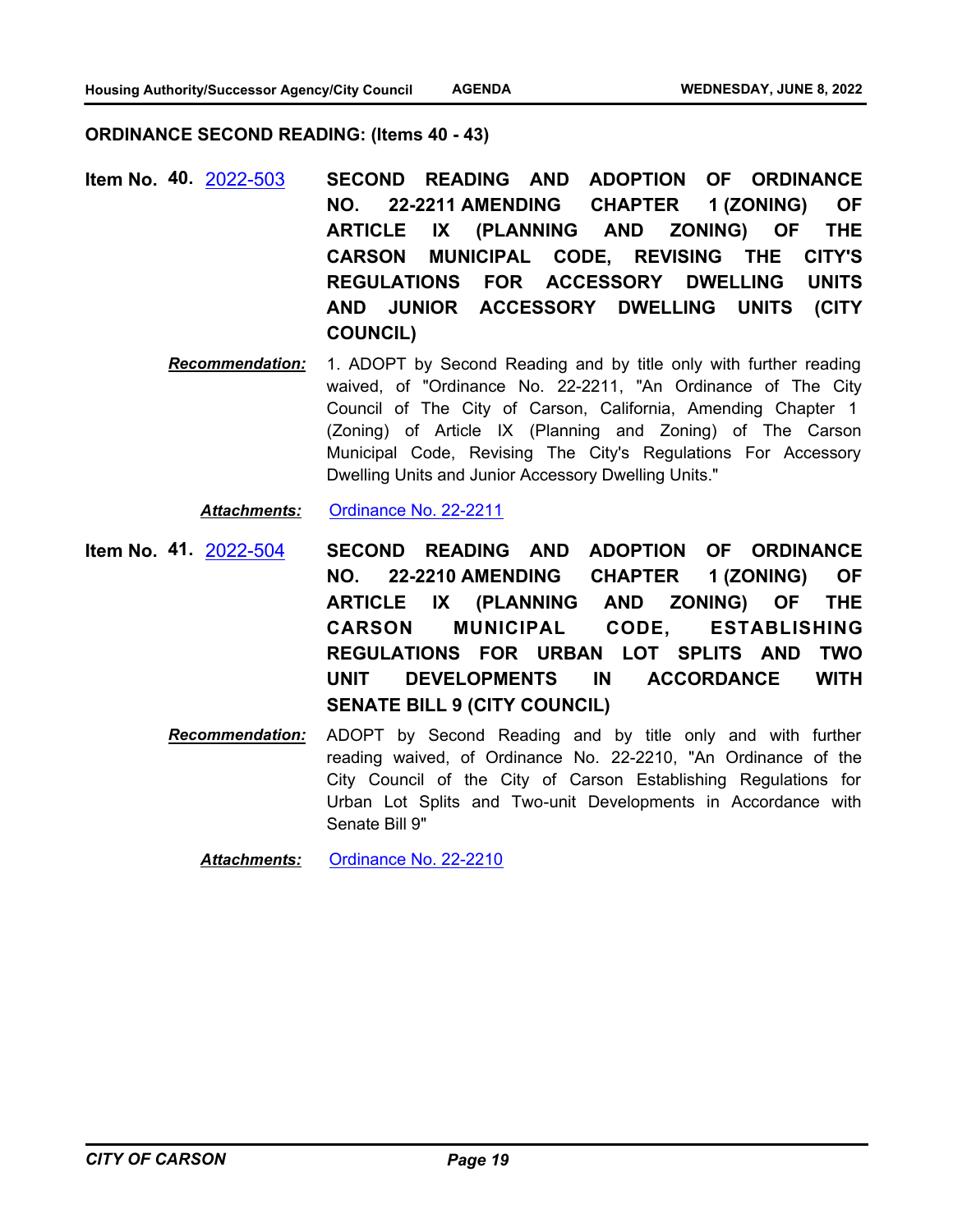### **ORDINANCE SECOND READING: (Items 40 - 43)**

- **SECOND READING AND ADOPTION OF ORDINANCE NO. 22-2211 AMENDING CHAPTER 1 (ZONING) OF ARTICLE IX (PLANNING AND ZONING) OF THE CARSON MUNICIPAL CODE, REVISING THE CITY'S REGULATIONS FOR ACCESSORY DWELLING UNITS AND JUNIOR ACCESSORY DWELLING UNITS (CITY COUNCIL) Item No. 40.** [2022-503](http://carson.legistar.com/gateway.aspx?m=l&id=/matter.aspx?key=10434)
	- *Recommendation:* 1. ADOPT by Second Reading and by title only with further reading waived, of "Ordinance No. 22-2211, "An Ordinance of The City Council of The City of Carson, California, Amending Chapter 1 (Zoning) of Article IX (Planning and Zoning) of The Carson Municipal Code, Revising The City's Regulations For Accessory Dwelling Units and Junior Accessory Dwelling Units."

*Attachments:* [Ordinance No. 22-2211](http://carson.legistar.com/gateway.aspx?M=F&ID=403866fd-61db-4243-bd55-f1c3453ae6ec.pdf)

- **SECOND READING AND ADOPTION OF ORDINANCE NO. 22-2210 AMENDING CHAPTER 1 (ZONING) OF ARTICLE IX (PLANNING AND ZONING) OF THE CARSON MUNICIPAL CODE, ESTABLISHING REGULATIONS FOR URBAN LOT SPLITS AND TWO UNIT DEVELOPMENTS IN ACCORDANCE WITH SENATE BILL 9 (CITY COUNCIL) Item No. 41.** [2022-504](http://carson.legistar.com/gateway.aspx?m=l&id=/matter.aspx?key=10435)
	- *Recommendation:* ADOPT by Second Reading and by title only and with further reading waived, of Ordinance No. 22-2210, "An Ordinance of the City Council of the City of Carson Establishing Regulations for Urban Lot Splits and Two-unit Developments in Accordance with Senate Bill 9"

*Attachments:* [Ordinance No. 22-2210](http://carson.legistar.com/gateway.aspx?M=F&ID=79418528-093a-4960-8579-cecea43ba293.pdf)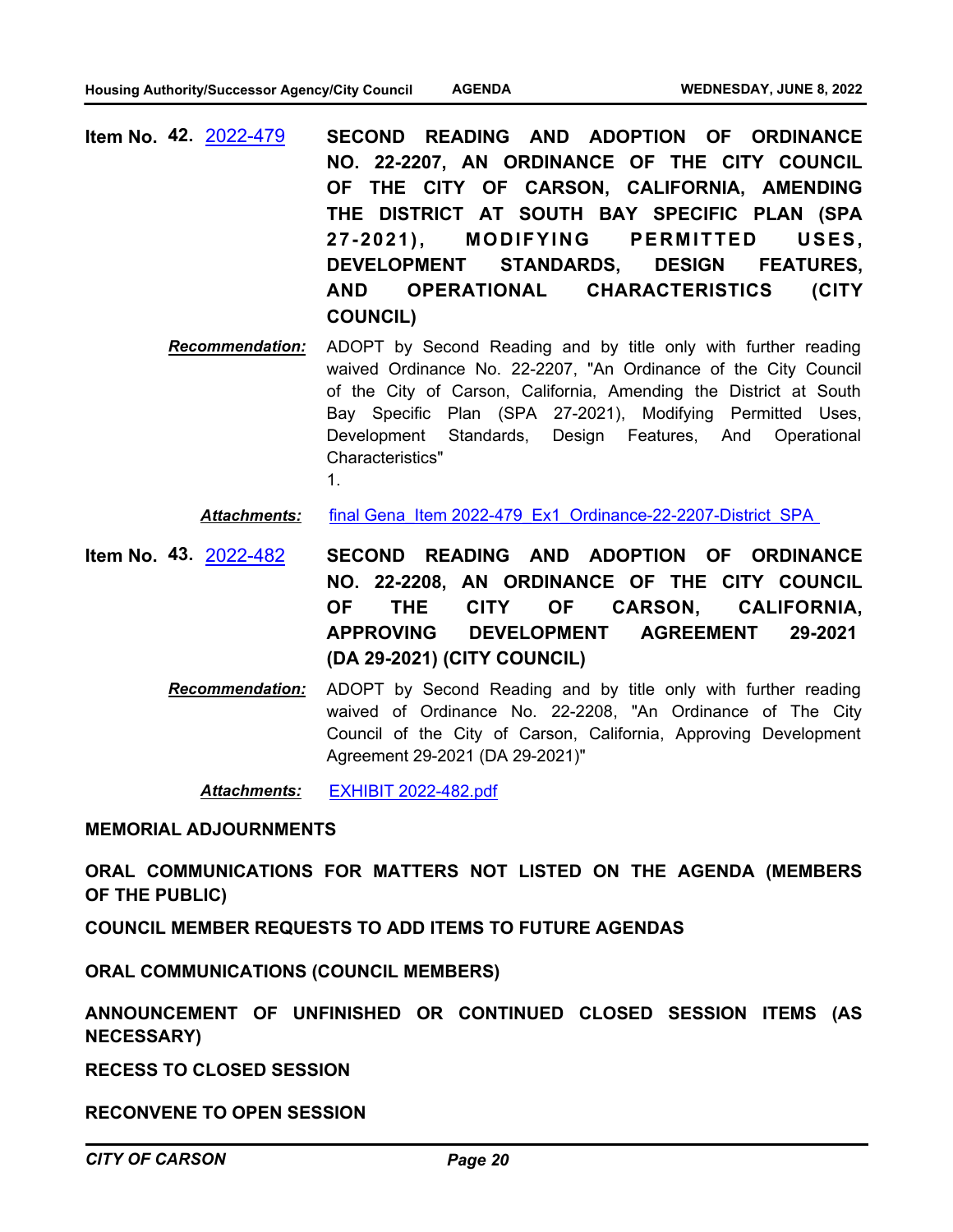- **SECOND READING AND ADOPTION OF ORDINANCE NO. 22-2207, AN ORDINANCE OF THE CITY COUNCIL OF THE CITY OF CARSON, CALIFORNIA, AMENDING THE DISTRICT AT SOUTH BAY SPECIFIC PLAN (SPA 27-2021), MODIFYING PERMITTED USES, DEVELOPMENT STANDARDS, DESIGN FEATURES, AND OPERATIONAL CHARACTERISTICS (CITY COUNCIL) Item No. 42.** [2022-479](http://carson.legistar.com/gateway.aspx?m=l&id=/matter.aspx?key=10410)
	- *Recommendation:* ADOPT by Second Reading and by title only with further reading waived Ordinance No. 22-2207, "An Ordinance of the City Council of the City of Carson, California, Amending the District at South Bay Specific Plan (SPA 27-2021), Modifying Permitted Uses, Development Standards, Design Features, And Operational Characteristics" 1.

Attachments: final Gena\_Item 2022-479\_Ex1\_Ordinance-22-2207-District\_SPA

- **SECOND READING AND ADOPTION OF ORDINANCE NO. 22-2208, AN ORDINANCE OF THE CITY COUNCIL OF THE CITY OF CARSON, CALIFORNIA, APPROVING DEVELOPMENT AGREEMENT 29-2021 (DA 29-2021) (CITY COUNCIL) Item No. 43.** [2022-482](http://carson.legistar.com/gateway.aspx?m=l&id=/matter.aspx?key=10413)
	- *Recommendation:* ADOPT by Second Reading and by title only with further reading waived of Ordinance No. 22-2208, "An Ordinance of The City Council of the City of Carson, California, Approving Development Agreement 29-2021 (DA 29-2021)"

*Attachments:* [EXHIBIT 2022-482.pdf](http://carson.legistar.com/gateway.aspx?M=F&ID=1de00646-efc0-4a38-b407-12ea7759adbd.pdf)

**MEMORIAL ADJOURNMENTS**

**ORAL COMMUNICATIONS FOR MATTERS NOT LISTED ON THE AGENDA (MEMBERS OF THE PUBLIC)**

**COUNCIL MEMBER REQUESTS TO ADD ITEMS TO FUTURE AGENDAS**

**ORAL COMMUNICATIONS (COUNCIL MEMBERS)**

**ANNOUNCEMENT OF UNFINISHED OR CONTINUED CLOSED SESSION ITEMS (AS NECESSARY)**

**RECESS TO CLOSED SESSION**

**RECONVENE TO OPEN SESSION**